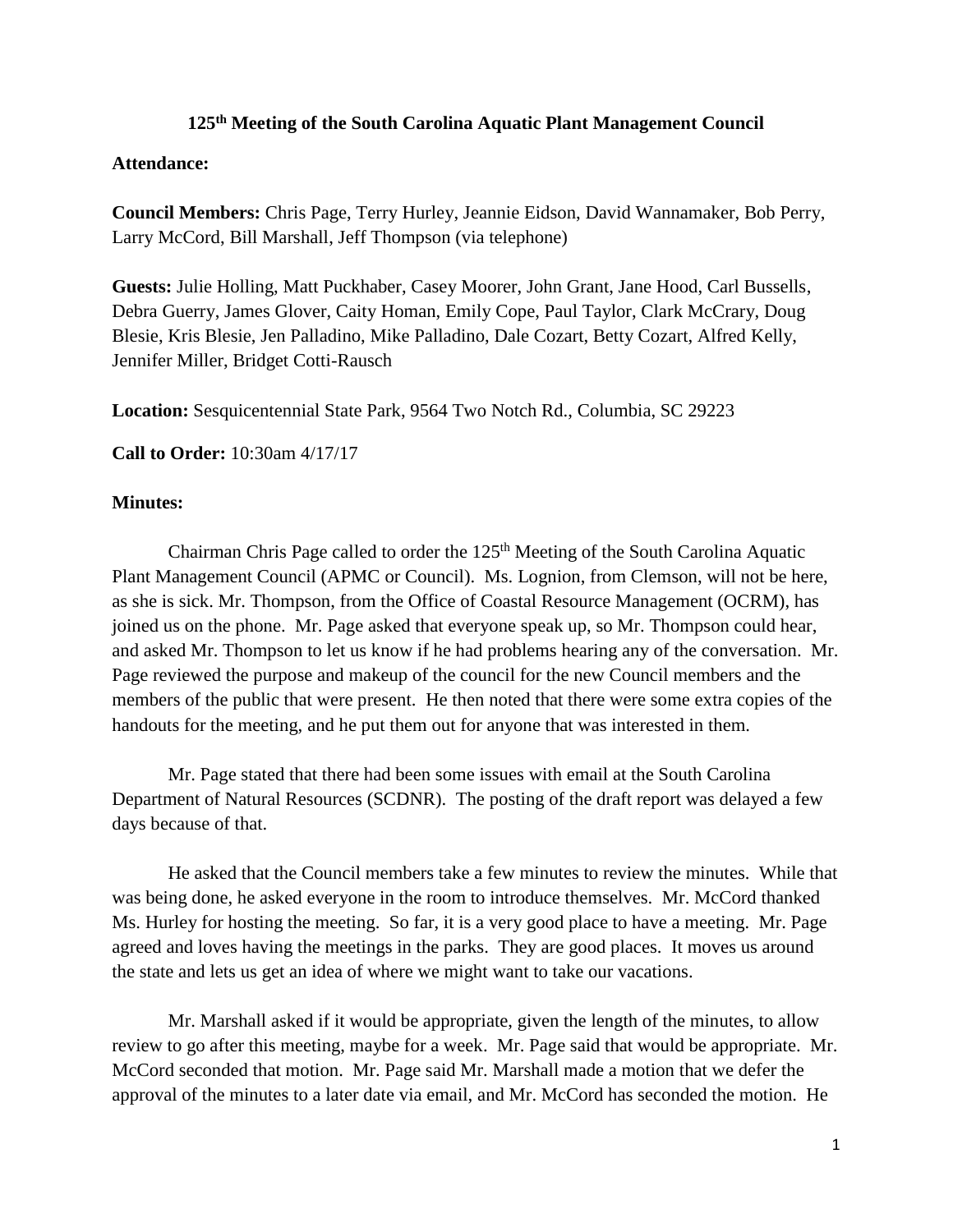## **125th Meeting of the South Carolina Aquatic Plant Management Council**

## **Attendance:**

**Council Members:** Chris Page, Terry Hurley, Jeannie Eidson, David Wannamaker, Bob Perry, Larry McCord, Bill Marshall, Jeff Thompson (via telephone)

**Guests:** Julie Holling, Matt Puckhaber, Casey Moorer, John Grant, Jane Hood, Carl Bussells, Debra Guerry, James Glover, Caity Homan, Emily Cope, Paul Taylor, Clark McCrary, Doug Blesie, Kris Blesie, Jen Palladino, Mike Palladino, Dale Cozart, Betty Cozart, Alfred Kelly, Jennifer Miller, Bridget Cotti-Rausch

**Location:** Sesquicentennial State Park, 9564 Two Notch Rd., Columbia, SC 29223

**Call to Order:** 10:30am 4/17/17

## **Minutes:**

Chairman Chris Page called to order the  $125<sup>th</sup>$  Meeting of the South Carolina Aquatic Plant Management Council (APMC or Council). Ms. Lognion, from Clemson, will not be here, as she is sick. Mr. Thompson, from the Office of Coastal Resource Management (OCRM), has joined us on the phone. Mr. Page asked that everyone speak up, so Mr. Thompson could hear, and asked Mr. Thompson to let us know if he had problems hearing any of the conversation. Mr. Page reviewed the purpose and makeup of the council for the new Council members and the members of the public that were present. He then noted that there were some extra copies of the handouts for the meeting, and he put them out for anyone that was interested in them.

Mr. Page stated that there had been some issues with email at the South Carolina Department of Natural Resources (SCDNR). The posting of the draft report was delayed a few days because of that.

He asked that the Council members take a few minutes to review the minutes. While that was being done, he asked everyone in the room to introduce themselves. Mr. McCord thanked Ms. Hurley for hosting the meeting. So far, it is a very good place to have a meeting. Mr. Page agreed and loves having the meetings in the parks. They are good places. It moves us around the state and lets us get an idea of where we might want to take our vacations.

Mr. Marshall asked if it would be appropriate, given the length of the minutes, to allow review to go after this meeting, maybe for a week. Mr. Page said that would be appropriate. Mr. McCord seconded that motion. Mr. Page said Mr. Marshall made a motion that we defer the approval of the minutes to a later date via email, and Mr. McCord has seconded the motion. He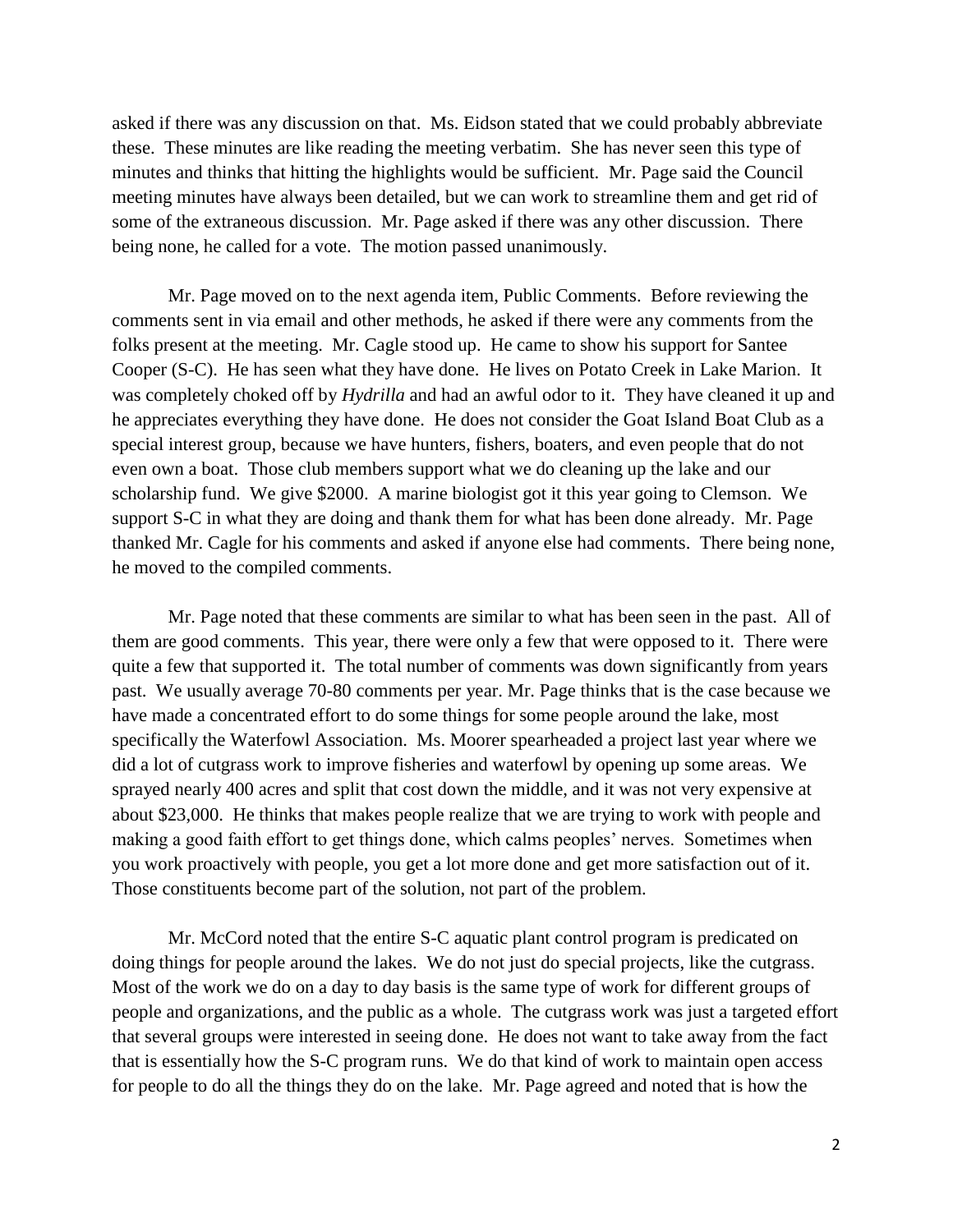asked if there was any discussion on that. Ms. Eidson stated that we could probably abbreviate these. These minutes are like reading the meeting verbatim. She has never seen this type of minutes and thinks that hitting the highlights would be sufficient. Mr. Page said the Council meeting minutes have always been detailed, but we can work to streamline them and get rid of some of the extraneous discussion. Mr. Page asked if there was any other discussion. There being none, he called for a vote. The motion passed unanimously.

Mr. Page moved on to the next agenda item, Public Comments. Before reviewing the comments sent in via email and other methods, he asked if there were any comments from the folks present at the meeting. Mr. Cagle stood up. He came to show his support for Santee Cooper (S-C). He has seen what they have done. He lives on Potato Creek in Lake Marion. It was completely choked off by *Hydrilla* and had an awful odor to it. They have cleaned it up and he appreciates everything they have done. He does not consider the Goat Island Boat Club as a special interest group, because we have hunters, fishers, boaters, and even people that do not even own a boat. Those club members support what we do cleaning up the lake and our scholarship fund. We give \$2000. A marine biologist got it this year going to Clemson. We support S-C in what they are doing and thank them for what has been done already. Mr. Page thanked Mr. Cagle for his comments and asked if anyone else had comments. There being none, he moved to the compiled comments.

Mr. Page noted that these comments are similar to what has been seen in the past. All of them are good comments. This year, there were only a few that were opposed to it. There were quite a few that supported it. The total number of comments was down significantly from years past. We usually average 70-80 comments per year. Mr. Page thinks that is the case because we have made a concentrated effort to do some things for some people around the lake, most specifically the Waterfowl Association. Ms. Moorer spearheaded a project last year where we did a lot of cutgrass work to improve fisheries and waterfowl by opening up some areas. We sprayed nearly 400 acres and split that cost down the middle, and it was not very expensive at about \$23,000. He thinks that makes people realize that we are trying to work with people and making a good faith effort to get things done, which calms peoples' nerves. Sometimes when you work proactively with people, you get a lot more done and get more satisfaction out of it. Those constituents become part of the solution, not part of the problem.

Mr. McCord noted that the entire S-C aquatic plant control program is predicated on doing things for people around the lakes. We do not just do special projects, like the cutgrass. Most of the work we do on a day to day basis is the same type of work for different groups of people and organizations, and the public as a whole. The cutgrass work was just a targeted effort that several groups were interested in seeing done. He does not want to take away from the fact that is essentially how the S-C program runs. We do that kind of work to maintain open access for people to do all the things they do on the lake. Mr. Page agreed and noted that is how the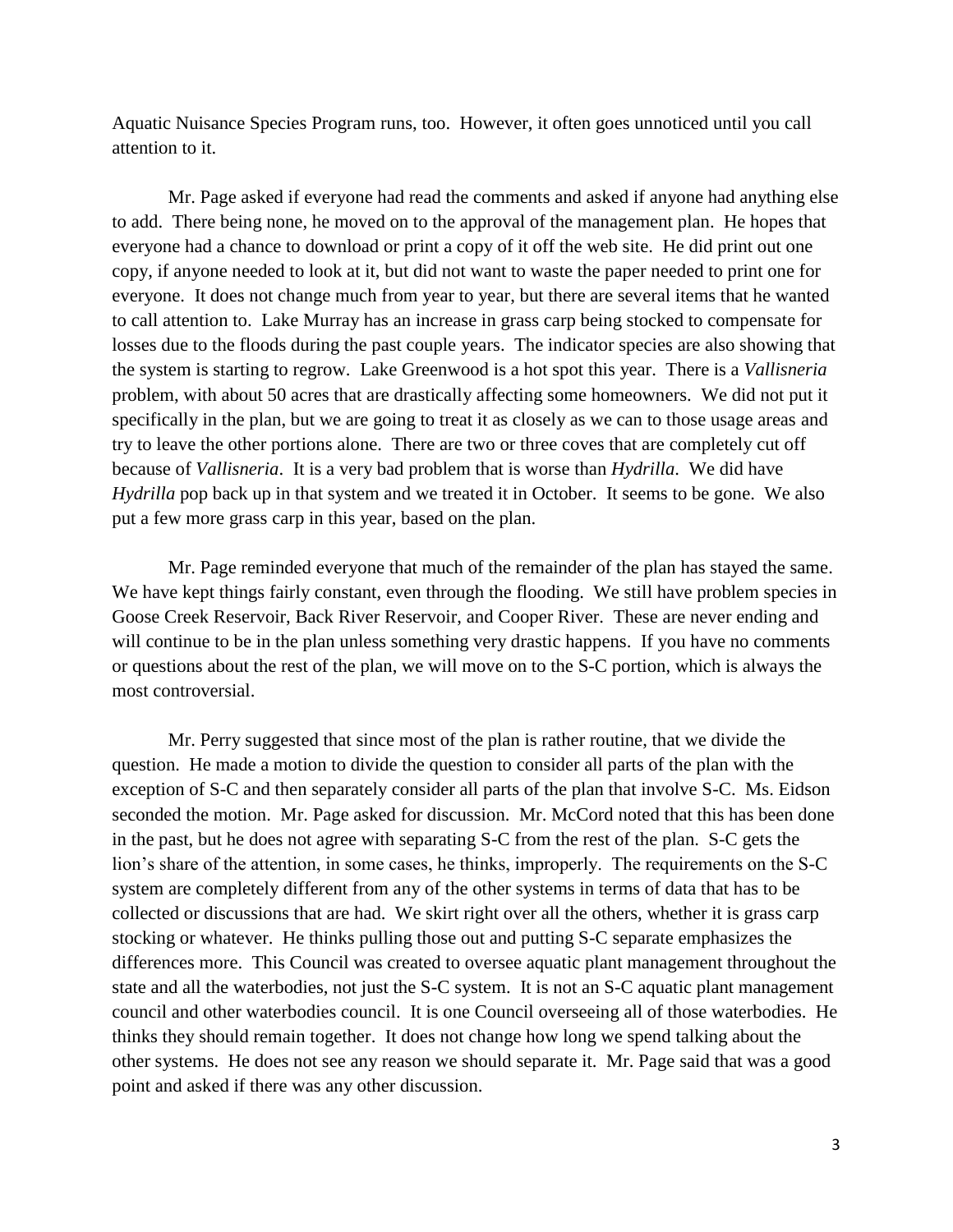Aquatic Nuisance Species Program runs, too. However, it often goes unnoticed until you call attention to it.

Mr. Page asked if everyone had read the comments and asked if anyone had anything else to add. There being none, he moved on to the approval of the management plan. He hopes that everyone had a chance to download or print a copy of it off the web site. He did print out one copy, if anyone needed to look at it, but did not want to waste the paper needed to print one for everyone. It does not change much from year to year, but there are several items that he wanted to call attention to. Lake Murray has an increase in grass carp being stocked to compensate for losses due to the floods during the past couple years. The indicator species are also showing that the system is starting to regrow. Lake Greenwood is a hot spot this year. There is a *Vallisneria* problem, with about 50 acres that are drastically affecting some homeowners. We did not put it specifically in the plan, but we are going to treat it as closely as we can to those usage areas and try to leave the other portions alone. There are two or three coves that are completely cut off because of *Vallisneria*. It is a very bad problem that is worse than *Hydrilla*. We did have *Hydrilla* pop back up in that system and we treated it in October. It seems to be gone. We also put a few more grass carp in this year, based on the plan.

Mr. Page reminded everyone that much of the remainder of the plan has stayed the same. We have kept things fairly constant, even through the flooding. We still have problem species in Goose Creek Reservoir, Back River Reservoir, and Cooper River. These are never ending and will continue to be in the plan unless something very drastic happens. If you have no comments or questions about the rest of the plan, we will move on to the S-C portion, which is always the most controversial.

Mr. Perry suggested that since most of the plan is rather routine, that we divide the question. He made a motion to divide the question to consider all parts of the plan with the exception of S-C and then separately consider all parts of the plan that involve S-C. Ms. Eidson seconded the motion. Mr. Page asked for discussion. Mr. McCord noted that this has been done in the past, but he does not agree with separating S-C from the rest of the plan. S-C gets the lion's share of the attention, in some cases, he thinks, improperly. The requirements on the S-C system are completely different from any of the other systems in terms of data that has to be collected or discussions that are had. We skirt right over all the others, whether it is grass carp stocking or whatever. He thinks pulling those out and putting S-C separate emphasizes the differences more. This Council was created to oversee aquatic plant management throughout the state and all the waterbodies, not just the S-C system. It is not an S-C aquatic plant management council and other waterbodies council. It is one Council overseeing all of those waterbodies. He thinks they should remain together. It does not change how long we spend talking about the other systems. He does not see any reason we should separate it. Mr. Page said that was a good point and asked if there was any other discussion.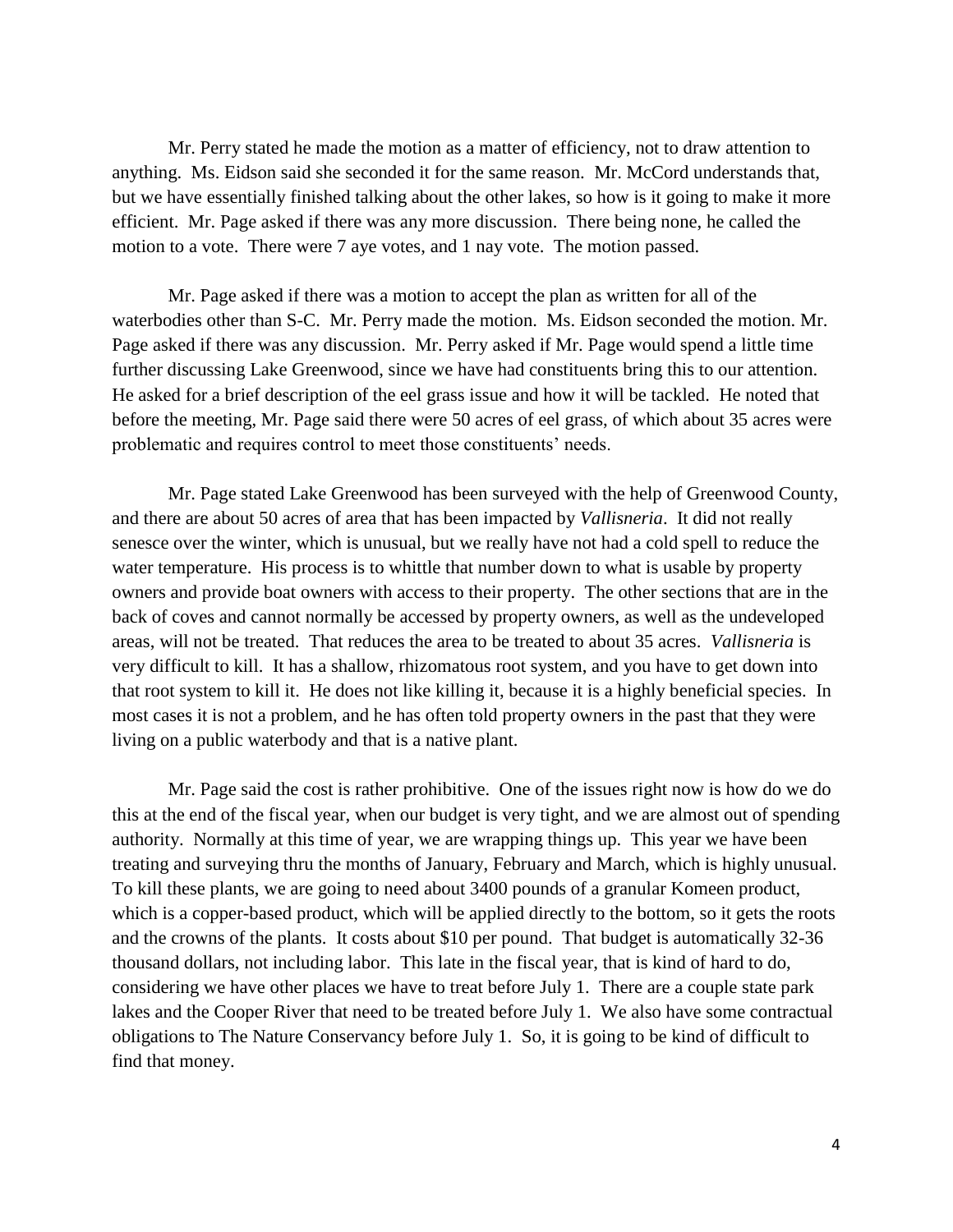Mr. Perry stated he made the motion as a matter of efficiency, not to draw attention to anything. Ms. Eidson said she seconded it for the same reason. Mr. McCord understands that, but we have essentially finished talking about the other lakes, so how is it going to make it more efficient. Mr. Page asked if there was any more discussion. There being none, he called the motion to a vote. There were 7 aye votes, and 1 nay vote. The motion passed.

Mr. Page asked if there was a motion to accept the plan as written for all of the waterbodies other than S-C. Mr. Perry made the motion. Ms. Eidson seconded the motion. Mr. Page asked if there was any discussion. Mr. Perry asked if Mr. Page would spend a little time further discussing Lake Greenwood, since we have had constituents bring this to our attention. He asked for a brief description of the eel grass issue and how it will be tackled. He noted that before the meeting, Mr. Page said there were 50 acres of eel grass, of which about 35 acres were problematic and requires control to meet those constituents' needs.

Mr. Page stated Lake Greenwood has been surveyed with the help of Greenwood County, and there are about 50 acres of area that has been impacted by *Vallisneria*. It did not really senesce over the winter, which is unusual, but we really have not had a cold spell to reduce the water temperature. His process is to whittle that number down to what is usable by property owners and provide boat owners with access to their property. The other sections that are in the back of coves and cannot normally be accessed by property owners, as well as the undeveloped areas, will not be treated. That reduces the area to be treated to about 35 acres. *Vallisneria* is very difficult to kill. It has a shallow, rhizomatous root system, and you have to get down into that root system to kill it. He does not like killing it, because it is a highly beneficial species. In most cases it is not a problem, and he has often told property owners in the past that they were living on a public waterbody and that is a native plant.

Mr. Page said the cost is rather prohibitive. One of the issues right now is how do we do this at the end of the fiscal year, when our budget is very tight, and we are almost out of spending authority. Normally at this time of year, we are wrapping things up. This year we have been treating and surveying thru the months of January, February and March, which is highly unusual. To kill these plants, we are going to need about 3400 pounds of a granular Komeen product, which is a copper-based product, which will be applied directly to the bottom, so it gets the roots and the crowns of the plants. It costs about \$10 per pound. That budget is automatically 32-36 thousand dollars, not including labor. This late in the fiscal year, that is kind of hard to do, considering we have other places we have to treat before July 1. There are a couple state park lakes and the Cooper River that need to be treated before July 1. We also have some contractual obligations to The Nature Conservancy before July 1. So, it is going to be kind of difficult to find that money.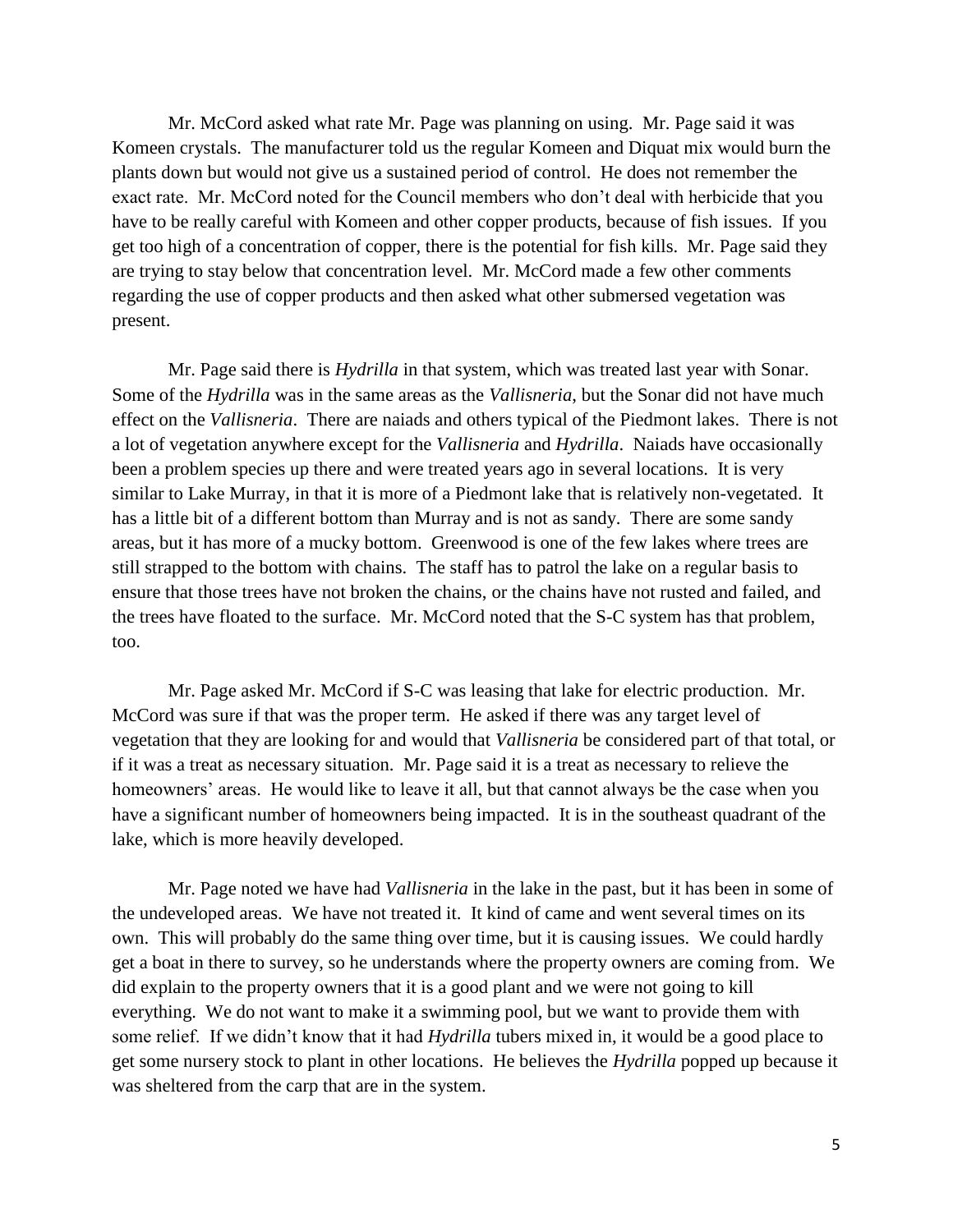Mr. McCord asked what rate Mr. Page was planning on using. Mr. Page said it was Komeen crystals. The manufacturer told us the regular Komeen and Diquat mix would burn the plants down but would not give us a sustained period of control. He does not remember the exact rate. Mr. McCord noted for the Council members who don't deal with herbicide that you have to be really careful with Komeen and other copper products, because of fish issues. If you get too high of a concentration of copper, there is the potential for fish kills. Mr. Page said they are trying to stay below that concentration level. Mr. McCord made a few other comments regarding the use of copper products and then asked what other submersed vegetation was present.

Mr. Page said there is *Hydrilla* in that system, which was treated last year with Sonar. Some of the *Hydrilla* was in the same areas as the *Vallisneria*, but the Sonar did not have much effect on the *Vallisneria*. There are naiads and others typical of the Piedmont lakes. There is not a lot of vegetation anywhere except for the *Vallisneria* and *Hydrilla*. Naiads have occasionally been a problem species up there and were treated years ago in several locations. It is very similar to Lake Murray, in that it is more of a Piedmont lake that is relatively non-vegetated. It has a little bit of a different bottom than Murray and is not as sandy. There are some sandy areas, but it has more of a mucky bottom. Greenwood is one of the few lakes where trees are still strapped to the bottom with chains. The staff has to patrol the lake on a regular basis to ensure that those trees have not broken the chains, or the chains have not rusted and failed, and the trees have floated to the surface. Mr. McCord noted that the S-C system has that problem, too.

Mr. Page asked Mr. McCord if S-C was leasing that lake for electric production. Mr. McCord was sure if that was the proper term. He asked if there was any target level of vegetation that they are looking for and would that *Vallisneria* be considered part of that total, or if it was a treat as necessary situation. Mr. Page said it is a treat as necessary to relieve the homeowners' areas. He would like to leave it all, but that cannot always be the case when you have a significant number of homeowners being impacted. It is in the southeast quadrant of the lake, which is more heavily developed.

Mr. Page noted we have had *Vallisneria* in the lake in the past, but it has been in some of the undeveloped areas. We have not treated it. It kind of came and went several times on its own. This will probably do the same thing over time, but it is causing issues. We could hardly get a boat in there to survey, so he understands where the property owners are coming from. We did explain to the property owners that it is a good plant and we were not going to kill everything. We do not want to make it a swimming pool, but we want to provide them with some relief. If we didn't know that it had *Hydrilla* tubers mixed in, it would be a good place to get some nursery stock to plant in other locations. He believes the *Hydrilla* popped up because it was sheltered from the carp that are in the system.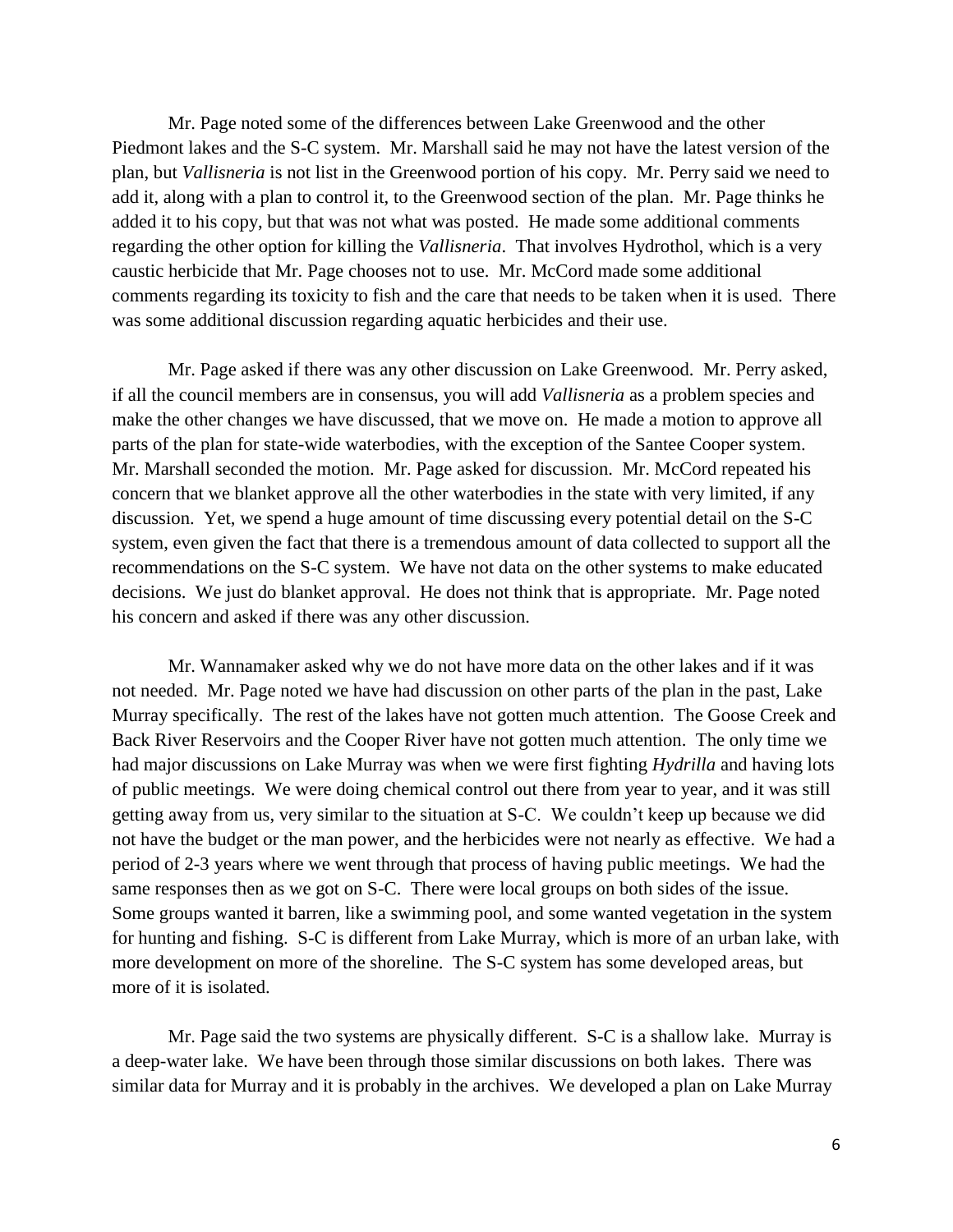Mr. Page noted some of the differences between Lake Greenwood and the other Piedmont lakes and the S-C system. Mr. Marshall said he may not have the latest version of the plan, but *Vallisneria* is not list in the Greenwood portion of his copy. Mr. Perry said we need to add it, along with a plan to control it, to the Greenwood section of the plan. Mr. Page thinks he added it to his copy, but that was not what was posted. He made some additional comments regarding the other option for killing the *Vallisneria*. That involves Hydrothol, which is a very caustic herbicide that Mr. Page chooses not to use. Mr. McCord made some additional comments regarding its toxicity to fish and the care that needs to be taken when it is used. There was some additional discussion regarding aquatic herbicides and their use.

Mr. Page asked if there was any other discussion on Lake Greenwood. Mr. Perry asked, if all the council members are in consensus, you will add *Vallisneria* as a problem species and make the other changes we have discussed, that we move on. He made a motion to approve all parts of the plan for state-wide waterbodies, with the exception of the Santee Cooper system. Mr. Marshall seconded the motion. Mr. Page asked for discussion. Mr. McCord repeated his concern that we blanket approve all the other waterbodies in the state with very limited, if any discussion. Yet, we spend a huge amount of time discussing every potential detail on the S-C system, even given the fact that there is a tremendous amount of data collected to support all the recommendations on the S-C system. We have not data on the other systems to make educated decisions. We just do blanket approval. He does not think that is appropriate. Mr. Page noted his concern and asked if there was any other discussion.

Mr. Wannamaker asked why we do not have more data on the other lakes and if it was not needed. Mr. Page noted we have had discussion on other parts of the plan in the past, Lake Murray specifically. The rest of the lakes have not gotten much attention. The Goose Creek and Back River Reservoirs and the Cooper River have not gotten much attention. The only time we had major discussions on Lake Murray was when we were first fighting *Hydrilla* and having lots of public meetings. We were doing chemical control out there from year to year, and it was still getting away from us, very similar to the situation at S-C. We couldn't keep up because we did not have the budget or the man power, and the herbicides were not nearly as effective. We had a period of 2-3 years where we went through that process of having public meetings. We had the same responses then as we got on S-C. There were local groups on both sides of the issue. Some groups wanted it barren, like a swimming pool, and some wanted vegetation in the system for hunting and fishing. S-C is different from Lake Murray, which is more of an urban lake, with more development on more of the shoreline. The S-C system has some developed areas, but more of it is isolated.

Mr. Page said the two systems are physically different. S-C is a shallow lake. Murray is a deep-water lake. We have been through those similar discussions on both lakes. There was similar data for Murray and it is probably in the archives. We developed a plan on Lake Murray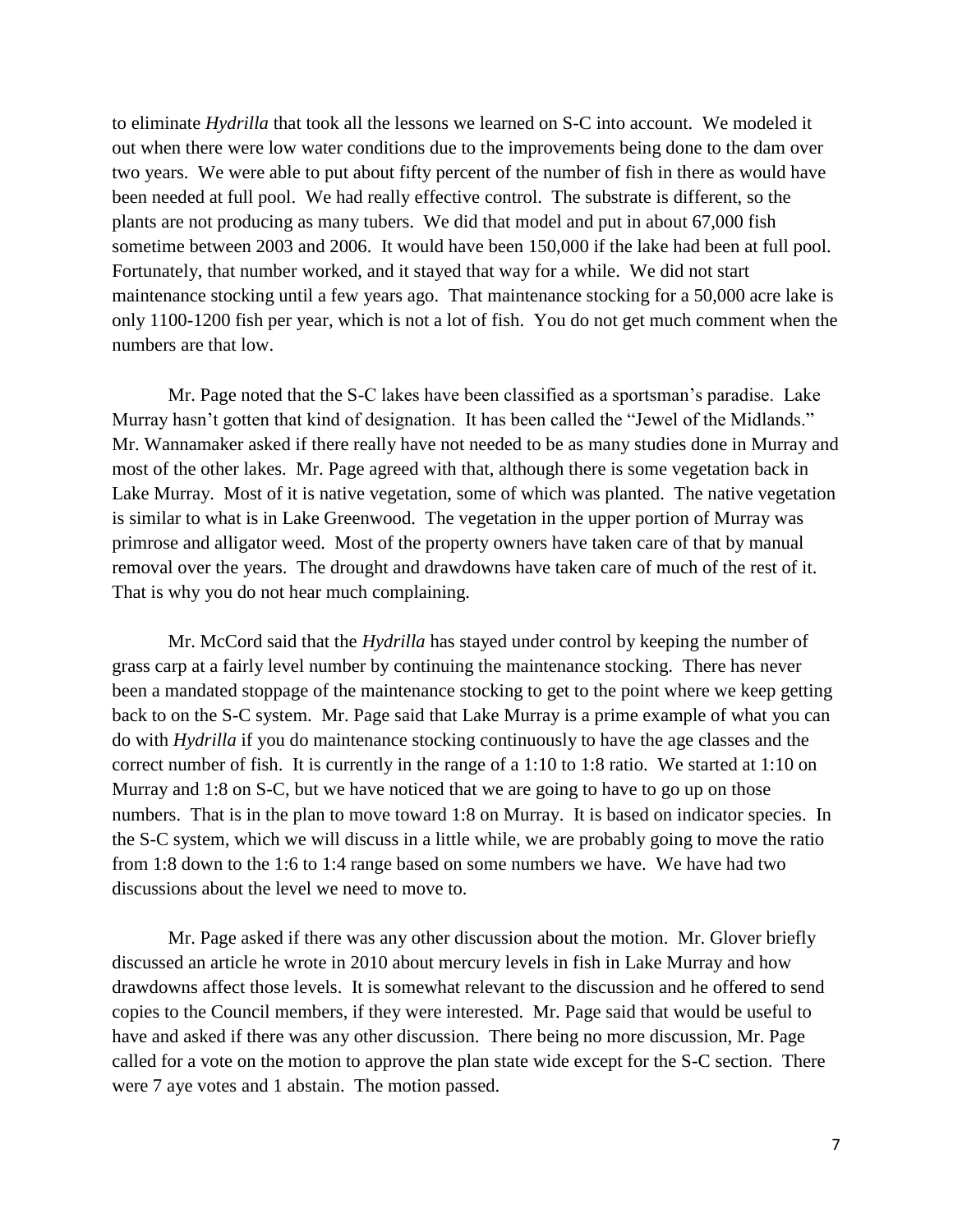to eliminate *Hydrilla* that took all the lessons we learned on S-C into account. We modeled it out when there were low water conditions due to the improvements being done to the dam over two years. We were able to put about fifty percent of the number of fish in there as would have been needed at full pool. We had really effective control. The substrate is different, so the plants are not producing as many tubers. We did that model and put in about 67,000 fish sometime between 2003 and 2006. It would have been 150,000 if the lake had been at full pool. Fortunately, that number worked, and it stayed that way for a while. We did not start maintenance stocking until a few years ago. That maintenance stocking for a 50,000 acre lake is only 1100-1200 fish per year, which is not a lot of fish. You do not get much comment when the numbers are that low.

Mr. Page noted that the S-C lakes have been classified as a sportsman's paradise. Lake Murray hasn't gotten that kind of designation. It has been called the "Jewel of the Midlands." Mr. Wannamaker asked if there really have not needed to be as many studies done in Murray and most of the other lakes. Mr. Page agreed with that, although there is some vegetation back in Lake Murray. Most of it is native vegetation, some of which was planted. The native vegetation is similar to what is in Lake Greenwood. The vegetation in the upper portion of Murray was primrose and alligator weed. Most of the property owners have taken care of that by manual removal over the years. The drought and drawdowns have taken care of much of the rest of it. That is why you do not hear much complaining.

Mr. McCord said that the *Hydrilla* has stayed under control by keeping the number of grass carp at a fairly level number by continuing the maintenance stocking. There has never been a mandated stoppage of the maintenance stocking to get to the point where we keep getting back to on the S-C system. Mr. Page said that Lake Murray is a prime example of what you can do with *Hydrilla* if you do maintenance stocking continuously to have the age classes and the correct number of fish. It is currently in the range of a 1:10 to 1:8 ratio. We started at 1:10 on Murray and 1:8 on S-C, but we have noticed that we are going to have to go up on those numbers. That is in the plan to move toward 1:8 on Murray. It is based on indicator species. In the S-C system, which we will discuss in a little while, we are probably going to move the ratio from 1:8 down to the 1:6 to 1:4 range based on some numbers we have. We have had two discussions about the level we need to move to.

Mr. Page asked if there was any other discussion about the motion. Mr. Glover briefly discussed an article he wrote in 2010 about mercury levels in fish in Lake Murray and how drawdowns affect those levels. It is somewhat relevant to the discussion and he offered to send copies to the Council members, if they were interested. Mr. Page said that would be useful to have and asked if there was any other discussion. There being no more discussion, Mr. Page called for a vote on the motion to approve the plan state wide except for the S-C section. There were 7 aye votes and 1 abstain. The motion passed.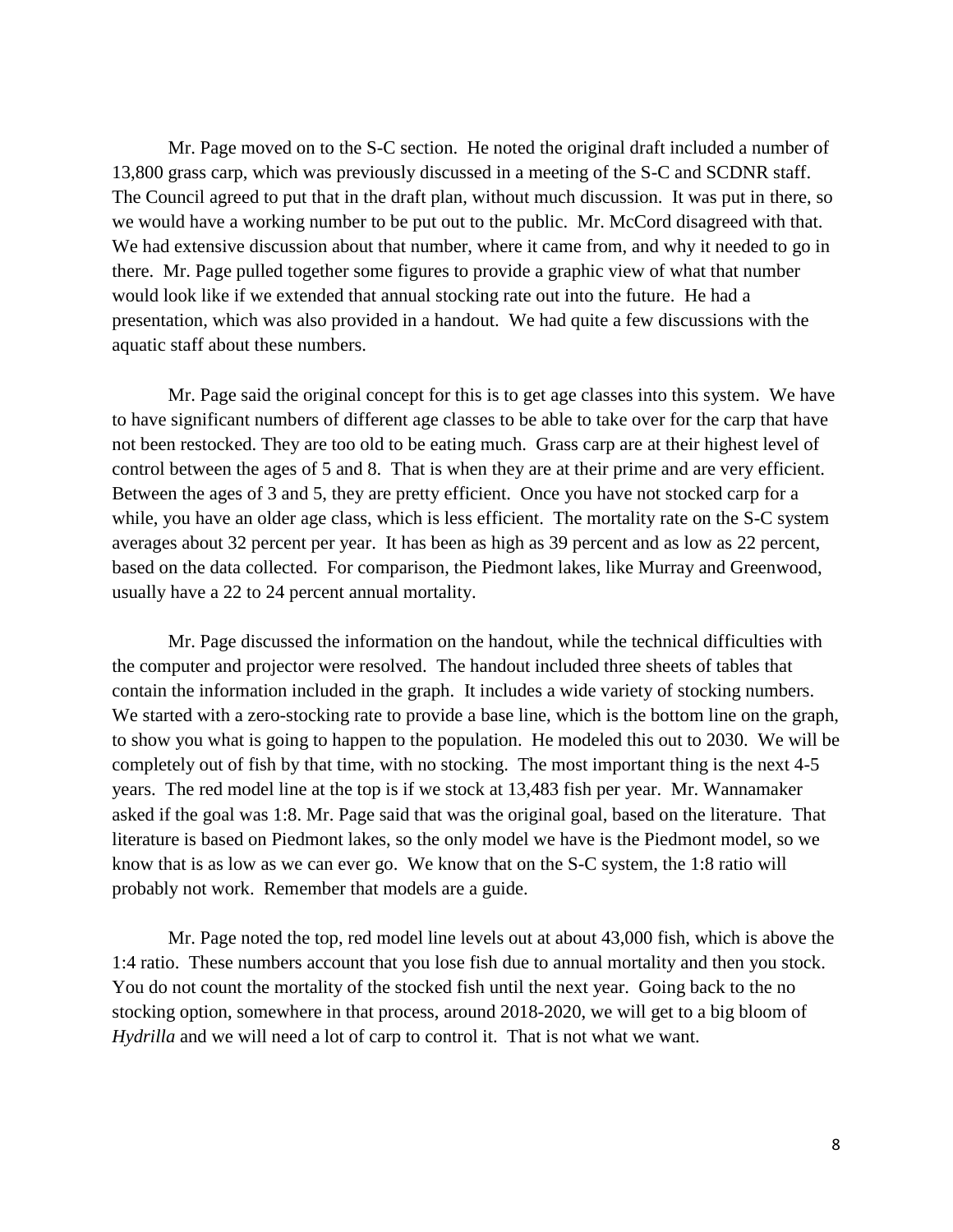Mr. Page moved on to the S-C section. He noted the original draft included a number of 13,800 grass carp, which was previously discussed in a meeting of the S-C and SCDNR staff. The Council agreed to put that in the draft plan, without much discussion. It was put in there, so we would have a working number to be put out to the public. Mr. McCord disagreed with that. We had extensive discussion about that number, where it came from, and why it needed to go in there. Mr. Page pulled together some figures to provide a graphic view of what that number would look like if we extended that annual stocking rate out into the future. He had a presentation, which was also provided in a handout. We had quite a few discussions with the aquatic staff about these numbers.

Mr. Page said the original concept for this is to get age classes into this system. We have to have significant numbers of different age classes to be able to take over for the carp that have not been restocked. They are too old to be eating much. Grass carp are at their highest level of control between the ages of 5 and 8. That is when they are at their prime and are very efficient. Between the ages of 3 and 5, they are pretty efficient. Once you have not stocked carp for a while, you have an older age class, which is less efficient. The mortality rate on the S-C system averages about 32 percent per year. It has been as high as 39 percent and as low as 22 percent, based on the data collected. For comparison, the Piedmont lakes, like Murray and Greenwood, usually have a 22 to 24 percent annual mortality.

Mr. Page discussed the information on the handout, while the technical difficulties with the computer and projector were resolved. The handout included three sheets of tables that contain the information included in the graph. It includes a wide variety of stocking numbers. We started with a zero-stocking rate to provide a base line, which is the bottom line on the graph, to show you what is going to happen to the population. He modeled this out to 2030. We will be completely out of fish by that time, with no stocking. The most important thing is the next 4-5 years. The red model line at the top is if we stock at 13,483 fish per year. Mr. Wannamaker asked if the goal was 1:8. Mr. Page said that was the original goal, based on the literature. That literature is based on Piedmont lakes, so the only model we have is the Piedmont model, so we know that is as low as we can ever go. We know that on the S-C system, the 1:8 ratio will probably not work. Remember that models are a guide.

Mr. Page noted the top, red model line levels out at about 43,000 fish, which is above the 1:4 ratio. These numbers account that you lose fish due to annual mortality and then you stock. You do not count the mortality of the stocked fish until the next year. Going back to the no stocking option, somewhere in that process, around 2018-2020, we will get to a big bloom of *Hydrilla* and we will need a lot of carp to control it. That is not what we want.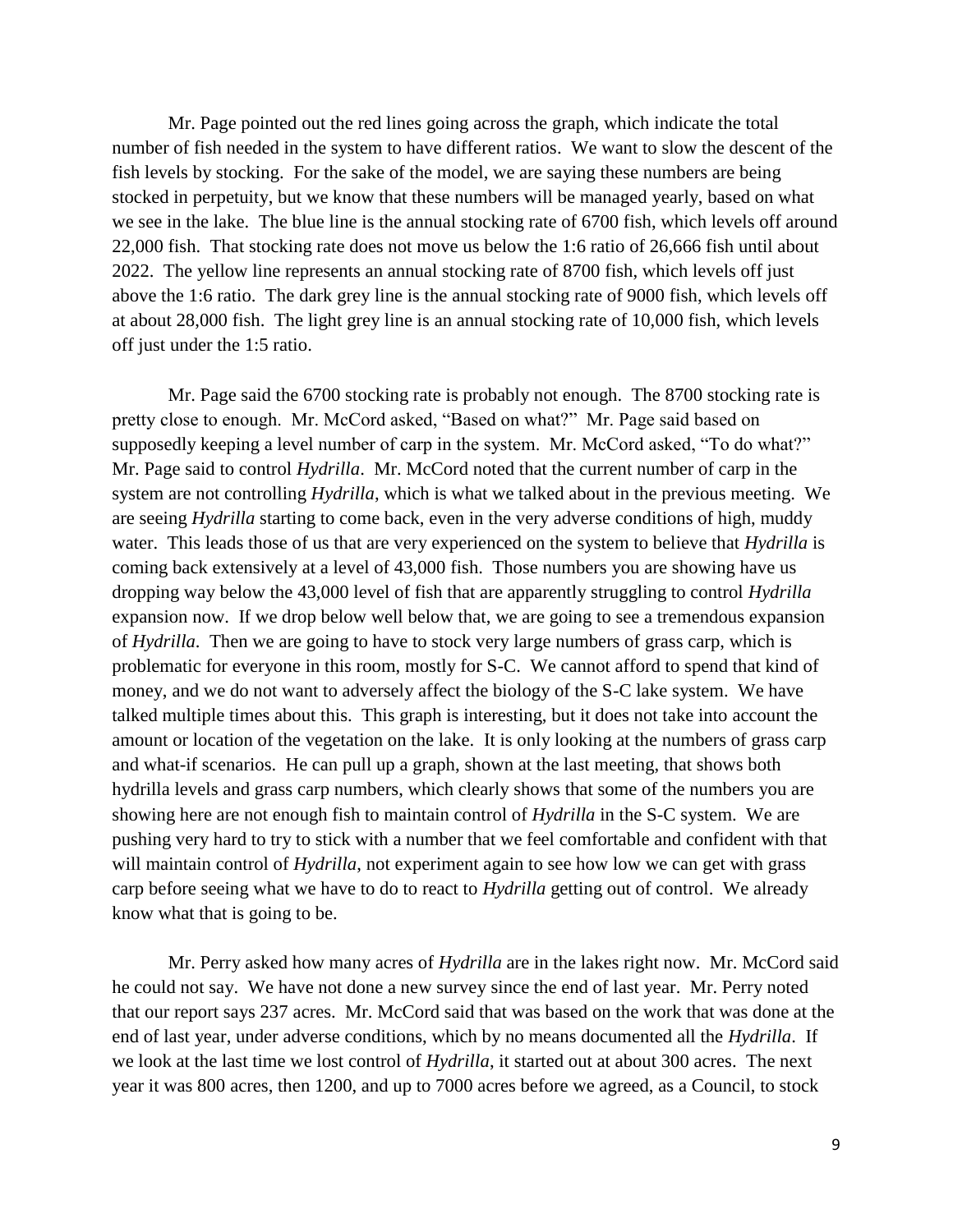Mr. Page pointed out the red lines going across the graph, which indicate the total number of fish needed in the system to have different ratios. We want to slow the descent of the fish levels by stocking. For the sake of the model, we are saying these numbers are being stocked in perpetuity, but we know that these numbers will be managed yearly, based on what we see in the lake. The blue line is the annual stocking rate of 6700 fish, which levels off around 22,000 fish. That stocking rate does not move us below the 1:6 ratio of 26,666 fish until about 2022. The yellow line represents an annual stocking rate of 8700 fish, which levels off just above the 1:6 ratio. The dark grey line is the annual stocking rate of 9000 fish, which levels off at about 28,000 fish. The light grey line is an annual stocking rate of 10,000 fish, which levels off just under the 1:5 ratio.

Mr. Page said the 6700 stocking rate is probably not enough. The 8700 stocking rate is pretty close to enough. Mr. McCord asked, "Based on what?" Mr. Page said based on supposedly keeping a level number of carp in the system. Mr. McCord asked, "To do what?" Mr. Page said to control *Hydrilla*. Mr. McCord noted that the current number of carp in the system are not controlling *Hydrilla*, which is what we talked about in the previous meeting. We are seeing *Hydrilla* starting to come back, even in the very adverse conditions of high, muddy water. This leads those of us that are very experienced on the system to believe that *Hydrilla* is coming back extensively at a level of 43,000 fish. Those numbers you are showing have us dropping way below the 43,000 level of fish that are apparently struggling to control *Hydrilla* expansion now. If we drop below well below that, we are going to see a tremendous expansion of *Hydrilla*. Then we are going to have to stock very large numbers of grass carp, which is problematic for everyone in this room, mostly for S-C. We cannot afford to spend that kind of money, and we do not want to adversely affect the biology of the S-C lake system. We have talked multiple times about this. This graph is interesting, but it does not take into account the amount or location of the vegetation on the lake. It is only looking at the numbers of grass carp and what-if scenarios. He can pull up a graph, shown at the last meeting, that shows both hydrilla levels and grass carp numbers, which clearly shows that some of the numbers you are showing here are not enough fish to maintain control of *Hydrilla* in the S-C system. We are pushing very hard to try to stick with a number that we feel comfortable and confident with that will maintain control of *Hydrilla*, not experiment again to see how low we can get with grass carp before seeing what we have to do to react to *Hydrilla* getting out of control. We already know what that is going to be.

Mr. Perry asked how many acres of *Hydrilla* are in the lakes right now. Mr. McCord said he could not say. We have not done a new survey since the end of last year. Mr. Perry noted that our report says 237 acres. Mr. McCord said that was based on the work that was done at the end of last year, under adverse conditions, which by no means documented all the *Hydrilla*. If we look at the last time we lost control of *Hydrilla*, it started out at about 300 acres. The next year it was 800 acres, then 1200, and up to 7000 acres before we agreed, as a Council, to stock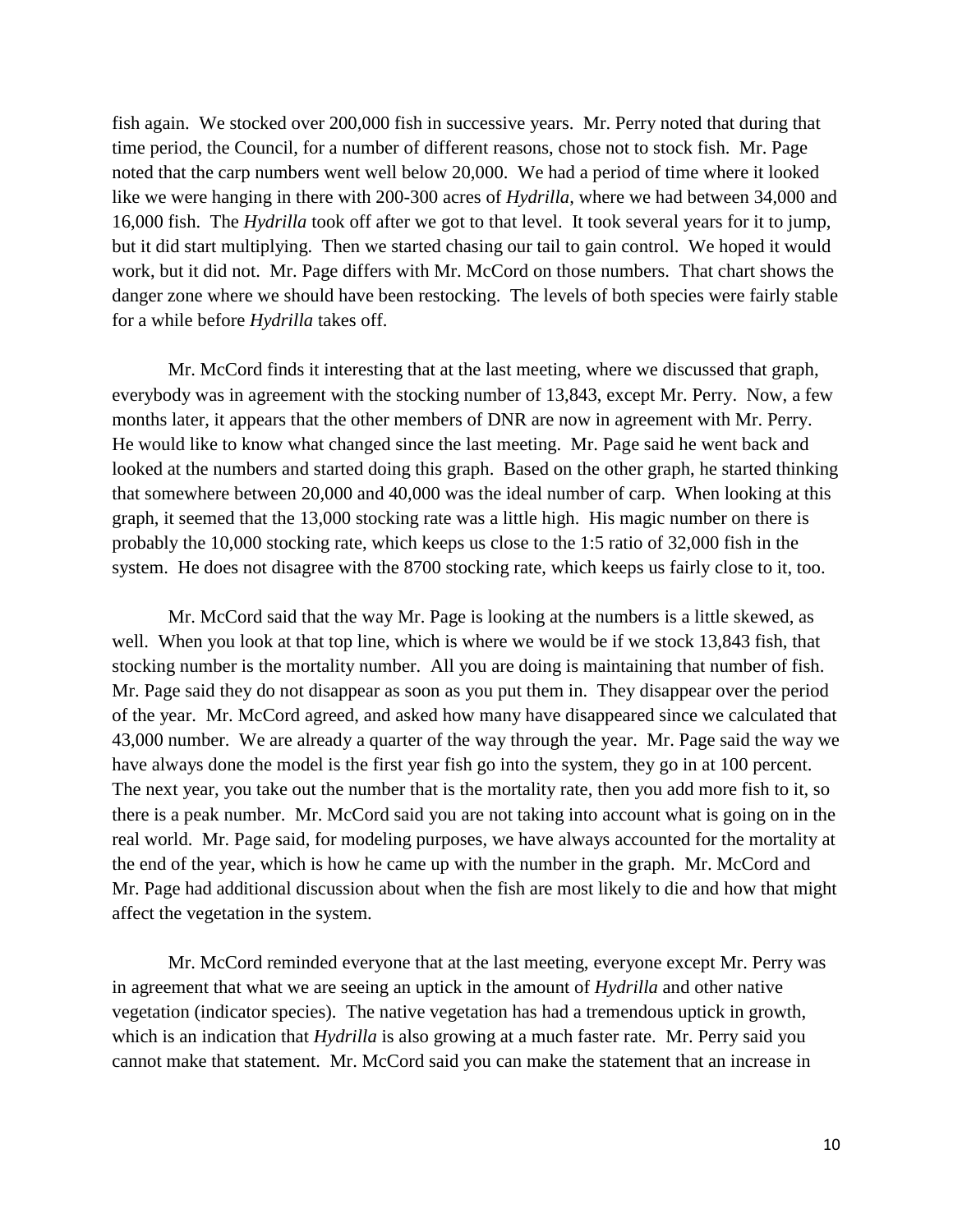fish again. We stocked over 200,000 fish in successive years. Mr. Perry noted that during that time period, the Council, for a number of different reasons, chose not to stock fish. Mr. Page noted that the carp numbers went well below 20,000. We had a period of time where it looked like we were hanging in there with 200-300 acres of *Hydrilla*, where we had between 34,000 and 16,000 fish. The *Hydrilla* took off after we got to that level. It took several years for it to jump, but it did start multiplying. Then we started chasing our tail to gain control. We hoped it would work, but it did not. Mr. Page differs with Mr. McCord on those numbers. That chart shows the danger zone where we should have been restocking. The levels of both species were fairly stable for a while before *Hydrilla* takes off.

Mr. McCord finds it interesting that at the last meeting, where we discussed that graph, everybody was in agreement with the stocking number of 13,843, except Mr. Perry. Now, a few months later, it appears that the other members of DNR are now in agreement with Mr. Perry. He would like to know what changed since the last meeting. Mr. Page said he went back and looked at the numbers and started doing this graph. Based on the other graph, he started thinking that somewhere between 20,000 and 40,000 was the ideal number of carp. When looking at this graph, it seemed that the 13,000 stocking rate was a little high. His magic number on there is probably the 10,000 stocking rate, which keeps us close to the 1:5 ratio of 32,000 fish in the system. He does not disagree with the 8700 stocking rate, which keeps us fairly close to it, too.

Mr. McCord said that the way Mr. Page is looking at the numbers is a little skewed, as well. When you look at that top line, which is where we would be if we stock 13,843 fish, that stocking number is the mortality number. All you are doing is maintaining that number of fish. Mr. Page said they do not disappear as soon as you put them in. They disappear over the period of the year. Mr. McCord agreed, and asked how many have disappeared since we calculated that 43,000 number. We are already a quarter of the way through the year. Mr. Page said the way we have always done the model is the first year fish go into the system, they go in at 100 percent. The next year, you take out the number that is the mortality rate, then you add more fish to it, so there is a peak number. Mr. McCord said you are not taking into account what is going on in the real world. Mr. Page said, for modeling purposes, we have always accounted for the mortality at the end of the year, which is how he came up with the number in the graph. Mr. McCord and Mr. Page had additional discussion about when the fish are most likely to die and how that might affect the vegetation in the system.

Mr. McCord reminded everyone that at the last meeting, everyone except Mr. Perry was in agreement that what we are seeing an uptick in the amount of *Hydrilla* and other native vegetation (indicator species). The native vegetation has had a tremendous uptick in growth, which is an indication that *Hydrilla* is also growing at a much faster rate. Mr. Perry said you cannot make that statement. Mr. McCord said you can make the statement that an increase in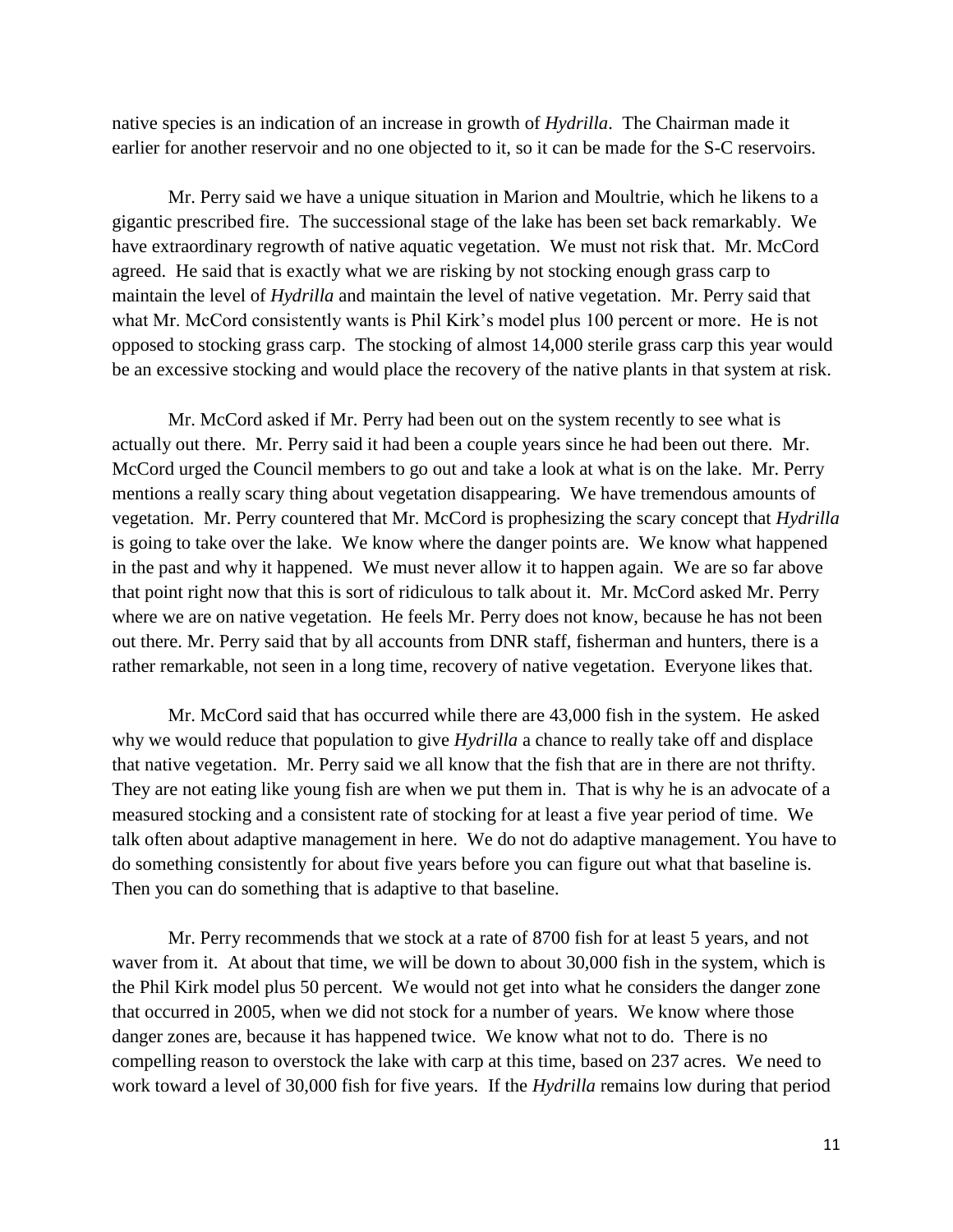native species is an indication of an increase in growth of *Hydrilla*. The Chairman made it earlier for another reservoir and no one objected to it, so it can be made for the S-C reservoirs.

Mr. Perry said we have a unique situation in Marion and Moultrie, which he likens to a gigantic prescribed fire. The successional stage of the lake has been set back remarkably. We have extraordinary regrowth of native aquatic vegetation. We must not risk that. Mr. McCord agreed. He said that is exactly what we are risking by not stocking enough grass carp to maintain the level of *Hydrilla* and maintain the level of native vegetation. Mr. Perry said that what Mr. McCord consistently wants is Phil Kirk's model plus 100 percent or more. He is not opposed to stocking grass carp. The stocking of almost 14,000 sterile grass carp this year would be an excessive stocking and would place the recovery of the native plants in that system at risk.

Mr. McCord asked if Mr. Perry had been out on the system recently to see what is actually out there. Mr. Perry said it had been a couple years since he had been out there. Mr. McCord urged the Council members to go out and take a look at what is on the lake. Mr. Perry mentions a really scary thing about vegetation disappearing. We have tremendous amounts of vegetation. Mr. Perry countered that Mr. McCord is prophesizing the scary concept that *Hydrilla* is going to take over the lake. We know where the danger points are. We know what happened in the past and why it happened. We must never allow it to happen again. We are so far above that point right now that this is sort of ridiculous to talk about it. Mr. McCord asked Mr. Perry where we are on native vegetation. He feels Mr. Perry does not know, because he has not been out there. Mr. Perry said that by all accounts from DNR staff, fisherman and hunters, there is a rather remarkable, not seen in a long time, recovery of native vegetation. Everyone likes that.

Mr. McCord said that has occurred while there are 43,000 fish in the system. He asked why we would reduce that population to give *Hydrilla* a chance to really take off and displace that native vegetation. Mr. Perry said we all know that the fish that are in there are not thrifty. They are not eating like young fish are when we put them in. That is why he is an advocate of a measured stocking and a consistent rate of stocking for at least a five year period of time. We talk often about adaptive management in here. We do not do adaptive management. You have to do something consistently for about five years before you can figure out what that baseline is. Then you can do something that is adaptive to that baseline.

Mr. Perry recommends that we stock at a rate of 8700 fish for at least 5 years, and not waver from it. At about that time, we will be down to about 30,000 fish in the system, which is the Phil Kirk model plus 50 percent. We would not get into what he considers the danger zone that occurred in 2005, when we did not stock for a number of years. We know where those danger zones are, because it has happened twice. We know what not to do. There is no compelling reason to overstock the lake with carp at this time, based on 237 acres. We need to work toward a level of 30,000 fish for five years. If the *Hydrilla* remains low during that period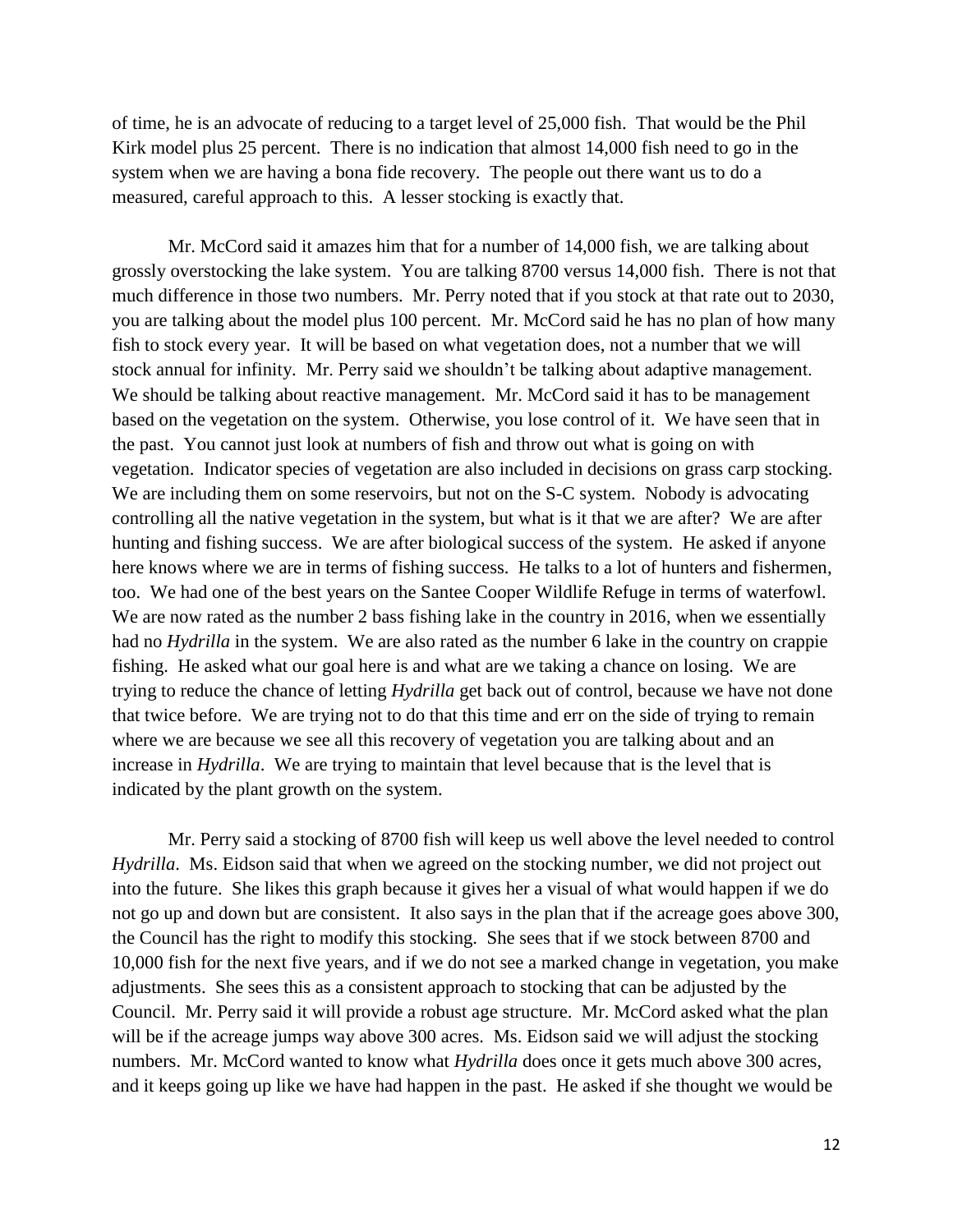of time, he is an advocate of reducing to a target level of 25,000 fish. That would be the Phil Kirk model plus 25 percent. There is no indication that almost 14,000 fish need to go in the system when we are having a bona fide recovery. The people out there want us to do a measured, careful approach to this. A lesser stocking is exactly that.

Mr. McCord said it amazes him that for a number of 14,000 fish, we are talking about grossly overstocking the lake system. You are talking 8700 versus 14,000 fish. There is not that much difference in those two numbers. Mr. Perry noted that if you stock at that rate out to 2030, you are talking about the model plus 100 percent. Mr. McCord said he has no plan of how many fish to stock every year. It will be based on what vegetation does, not a number that we will stock annual for infinity. Mr. Perry said we shouldn't be talking about adaptive management. We should be talking about reactive management. Mr. McCord said it has to be management based on the vegetation on the system. Otherwise, you lose control of it. We have seen that in the past. You cannot just look at numbers of fish and throw out what is going on with vegetation. Indicator species of vegetation are also included in decisions on grass carp stocking. We are including them on some reservoirs, but not on the S-C system. Nobody is advocating controlling all the native vegetation in the system, but what is it that we are after? We are after hunting and fishing success. We are after biological success of the system. He asked if anyone here knows where we are in terms of fishing success. He talks to a lot of hunters and fishermen, too. We had one of the best years on the Santee Cooper Wildlife Refuge in terms of waterfowl. We are now rated as the number 2 bass fishing lake in the country in 2016, when we essentially had no *Hydrilla* in the system. We are also rated as the number 6 lake in the country on crappie fishing. He asked what our goal here is and what are we taking a chance on losing. We are trying to reduce the chance of letting *Hydrilla* get back out of control, because we have not done that twice before. We are trying not to do that this time and err on the side of trying to remain where we are because we see all this recovery of vegetation you are talking about and an increase in *Hydrilla*. We are trying to maintain that level because that is the level that is indicated by the plant growth on the system.

Mr. Perry said a stocking of 8700 fish will keep us well above the level needed to control *Hydrilla*. Ms. Eidson said that when we agreed on the stocking number, we did not project out into the future. She likes this graph because it gives her a visual of what would happen if we do not go up and down but are consistent. It also says in the plan that if the acreage goes above 300, the Council has the right to modify this stocking. She sees that if we stock between 8700 and 10,000 fish for the next five years, and if we do not see a marked change in vegetation, you make adjustments. She sees this as a consistent approach to stocking that can be adjusted by the Council. Mr. Perry said it will provide a robust age structure. Mr. McCord asked what the plan will be if the acreage jumps way above 300 acres. Ms. Eidson said we will adjust the stocking numbers. Mr. McCord wanted to know what *Hydrilla* does once it gets much above 300 acres, and it keeps going up like we have had happen in the past. He asked if she thought we would be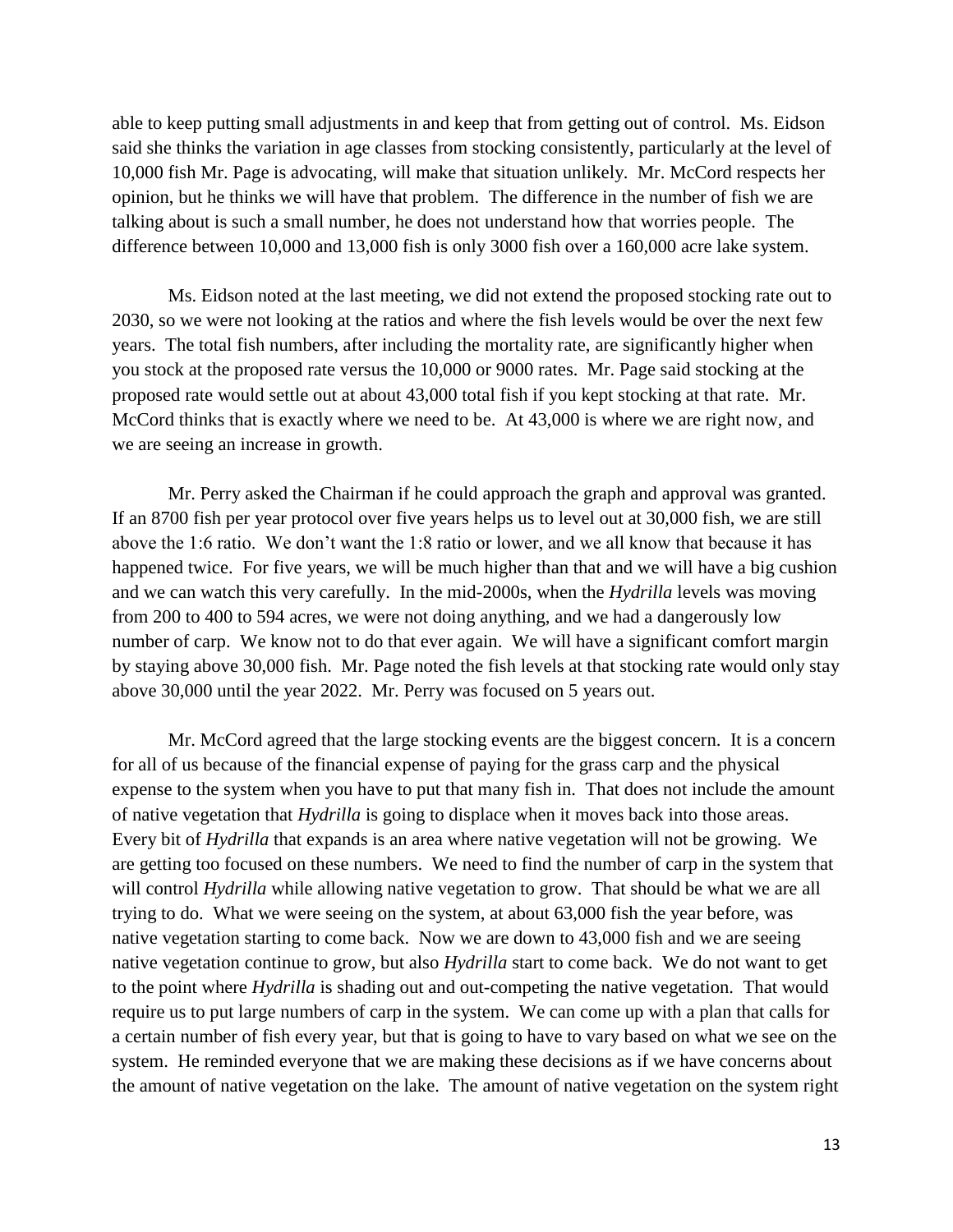able to keep putting small adjustments in and keep that from getting out of control. Ms. Eidson said she thinks the variation in age classes from stocking consistently, particularly at the level of 10,000 fish Mr. Page is advocating, will make that situation unlikely. Mr. McCord respects her opinion, but he thinks we will have that problem. The difference in the number of fish we are talking about is such a small number, he does not understand how that worries people. The difference between 10,000 and 13,000 fish is only 3000 fish over a 160,000 acre lake system.

Ms. Eidson noted at the last meeting, we did not extend the proposed stocking rate out to 2030, so we were not looking at the ratios and where the fish levels would be over the next few years. The total fish numbers, after including the mortality rate, are significantly higher when you stock at the proposed rate versus the 10,000 or 9000 rates. Mr. Page said stocking at the proposed rate would settle out at about 43,000 total fish if you kept stocking at that rate. Mr. McCord thinks that is exactly where we need to be. At 43,000 is where we are right now, and we are seeing an increase in growth.

Mr. Perry asked the Chairman if he could approach the graph and approval was granted. If an 8700 fish per year protocol over five years helps us to level out at 30,000 fish, we are still above the 1:6 ratio. We don't want the 1:8 ratio or lower, and we all know that because it has happened twice. For five years, we will be much higher than that and we will have a big cushion and we can watch this very carefully. In the mid-2000s, when the *Hydrilla* levels was moving from 200 to 400 to 594 acres, we were not doing anything, and we had a dangerously low number of carp. We know not to do that ever again. We will have a significant comfort margin by staying above 30,000 fish. Mr. Page noted the fish levels at that stocking rate would only stay above 30,000 until the year 2022. Mr. Perry was focused on 5 years out.

Mr. McCord agreed that the large stocking events are the biggest concern. It is a concern for all of us because of the financial expense of paying for the grass carp and the physical expense to the system when you have to put that many fish in. That does not include the amount of native vegetation that *Hydrilla* is going to displace when it moves back into those areas. Every bit of *Hydrilla* that expands is an area where native vegetation will not be growing. We are getting too focused on these numbers. We need to find the number of carp in the system that will control *Hydrilla* while allowing native vegetation to grow. That should be what we are all trying to do. What we were seeing on the system, at about 63,000 fish the year before, was native vegetation starting to come back. Now we are down to 43,000 fish and we are seeing native vegetation continue to grow, but also *Hydrilla* start to come back. We do not want to get to the point where *Hydrilla* is shading out and out-competing the native vegetation. That would require us to put large numbers of carp in the system. We can come up with a plan that calls for a certain number of fish every year, but that is going to have to vary based on what we see on the system. He reminded everyone that we are making these decisions as if we have concerns about the amount of native vegetation on the lake. The amount of native vegetation on the system right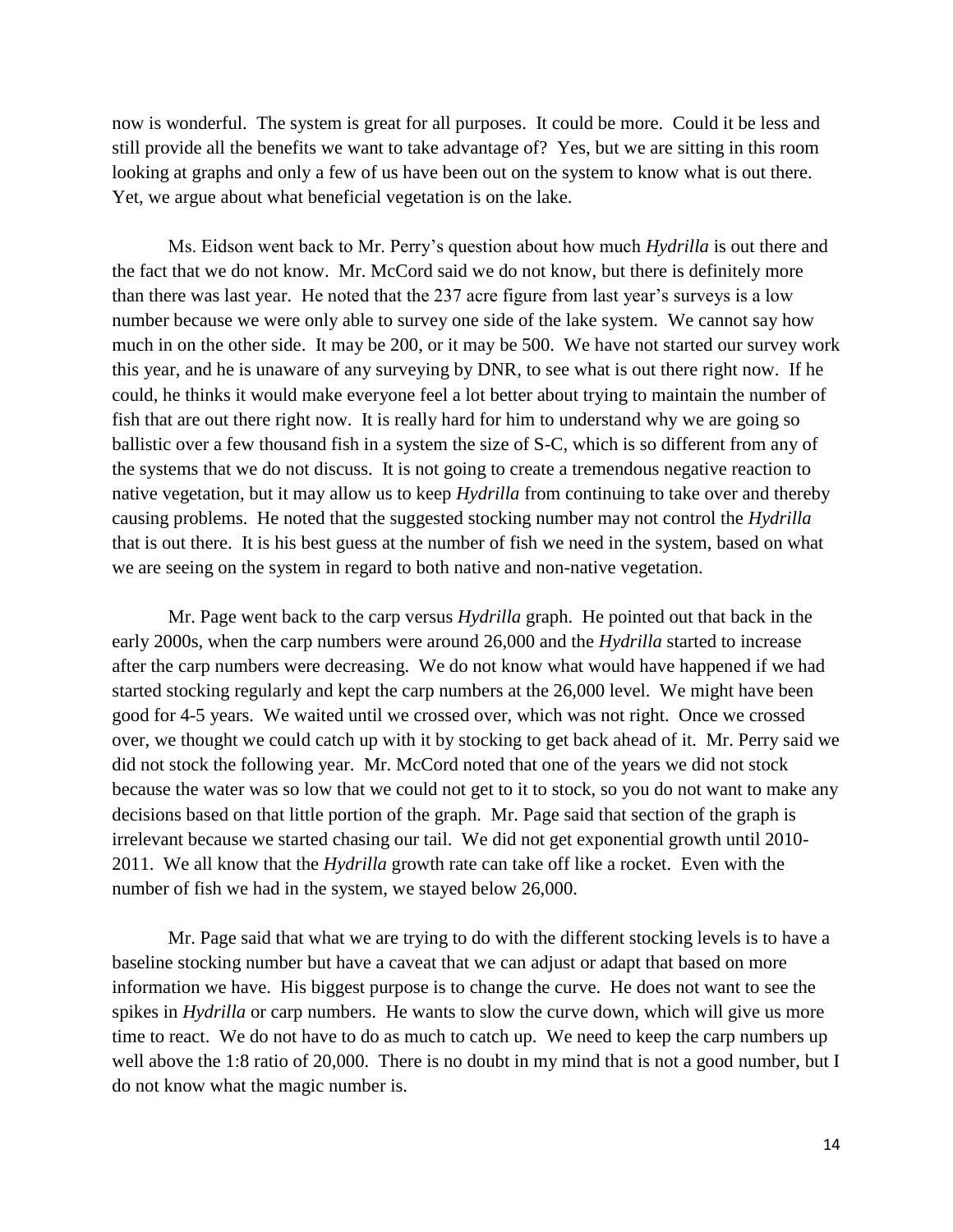now is wonderful. The system is great for all purposes. It could be more. Could it be less and still provide all the benefits we want to take advantage of? Yes, but we are sitting in this room looking at graphs and only a few of us have been out on the system to know what is out there. Yet, we argue about what beneficial vegetation is on the lake.

Ms. Eidson went back to Mr. Perry's question about how much *Hydrilla* is out there and the fact that we do not know. Mr. McCord said we do not know, but there is definitely more than there was last year. He noted that the 237 acre figure from last year's surveys is a low number because we were only able to survey one side of the lake system. We cannot say how much in on the other side. It may be 200, or it may be 500. We have not started our survey work this year, and he is unaware of any surveying by DNR, to see what is out there right now. If he could, he thinks it would make everyone feel a lot better about trying to maintain the number of fish that are out there right now. It is really hard for him to understand why we are going so ballistic over a few thousand fish in a system the size of S-C, which is so different from any of the systems that we do not discuss. It is not going to create a tremendous negative reaction to native vegetation, but it may allow us to keep *Hydrilla* from continuing to take over and thereby causing problems. He noted that the suggested stocking number may not control the *Hydrilla* that is out there. It is his best guess at the number of fish we need in the system, based on what we are seeing on the system in regard to both native and non-native vegetation.

Mr. Page went back to the carp versus *Hydrilla* graph. He pointed out that back in the early 2000s, when the carp numbers were around 26,000 and the *Hydrilla* started to increase after the carp numbers were decreasing. We do not know what would have happened if we had started stocking regularly and kept the carp numbers at the 26,000 level. We might have been good for 4-5 years. We waited until we crossed over, which was not right. Once we crossed over, we thought we could catch up with it by stocking to get back ahead of it. Mr. Perry said we did not stock the following year. Mr. McCord noted that one of the years we did not stock because the water was so low that we could not get to it to stock, so you do not want to make any decisions based on that little portion of the graph. Mr. Page said that section of the graph is irrelevant because we started chasing our tail. We did not get exponential growth until 2010- 2011. We all know that the *Hydrilla* growth rate can take off like a rocket. Even with the number of fish we had in the system, we stayed below 26,000.

Mr. Page said that what we are trying to do with the different stocking levels is to have a baseline stocking number but have a caveat that we can adjust or adapt that based on more information we have. His biggest purpose is to change the curve. He does not want to see the spikes in *Hydrilla* or carp numbers. He wants to slow the curve down, which will give us more time to react. We do not have to do as much to catch up. We need to keep the carp numbers up well above the 1:8 ratio of 20,000. There is no doubt in my mind that is not a good number, but I do not know what the magic number is.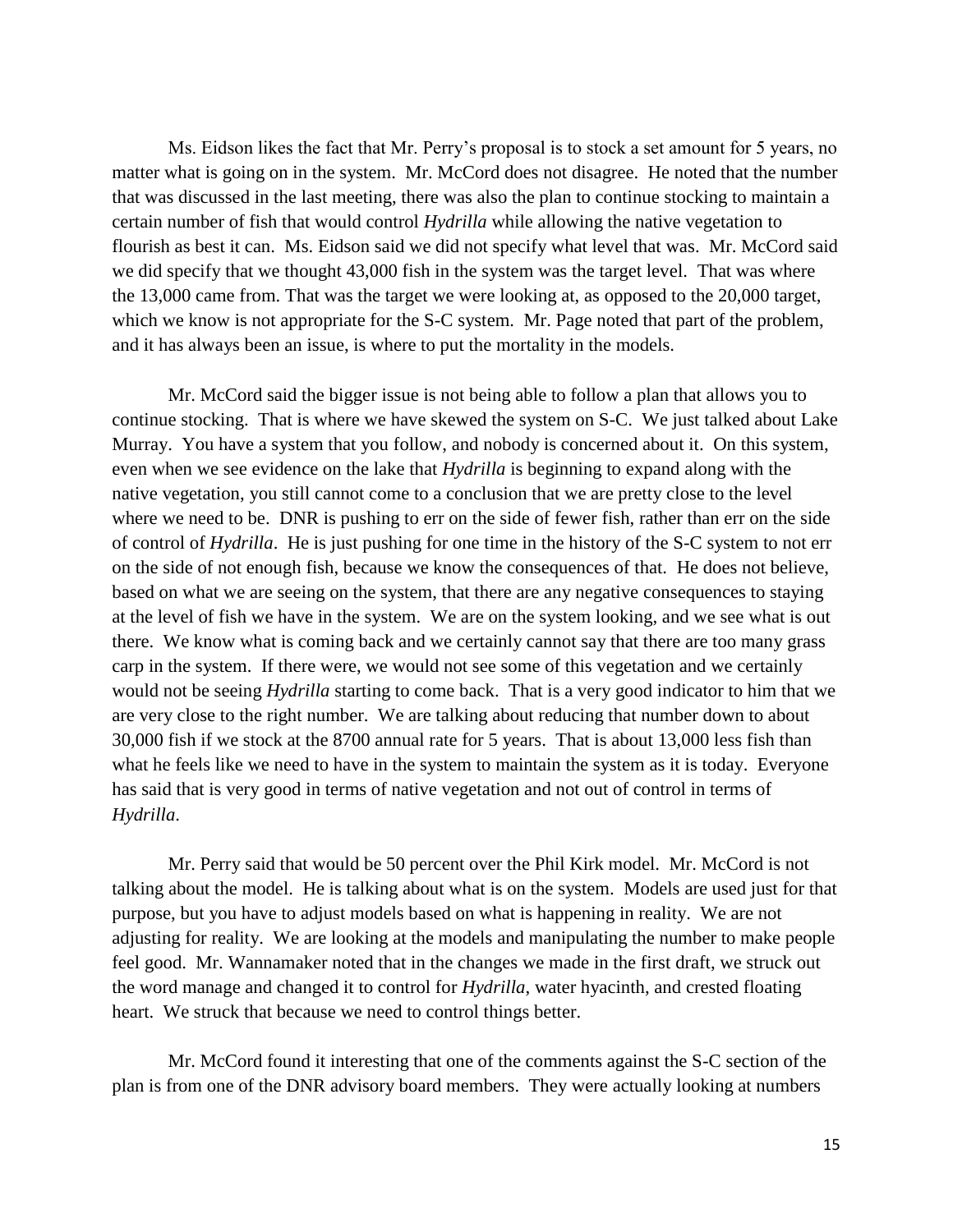Ms. Eidson likes the fact that Mr. Perry's proposal is to stock a set amount for 5 years, no matter what is going on in the system. Mr. McCord does not disagree. He noted that the number that was discussed in the last meeting, there was also the plan to continue stocking to maintain a certain number of fish that would control *Hydrilla* while allowing the native vegetation to flourish as best it can. Ms. Eidson said we did not specify what level that was. Mr. McCord said we did specify that we thought 43,000 fish in the system was the target level. That was where the 13,000 came from. That was the target we were looking at, as opposed to the 20,000 target, which we know is not appropriate for the S-C system. Mr. Page noted that part of the problem, and it has always been an issue, is where to put the mortality in the models.

Mr. McCord said the bigger issue is not being able to follow a plan that allows you to continue stocking. That is where we have skewed the system on S-C. We just talked about Lake Murray. You have a system that you follow, and nobody is concerned about it. On this system, even when we see evidence on the lake that *Hydrilla* is beginning to expand along with the native vegetation, you still cannot come to a conclusion that we are pretty close to the level where we need to be. DNR is pushing to err on the side of fewer fish, rather than err on the side of control of *Hydrilla*. He is just pushing for one time in the history of the S-C system to not err on the side of not enough fish, because we know the consequences of that. He does not believe, based on what we are seeing on the system, that there are any negative consequences to staying at the level of fish we have in the system. We are on the system looking, and we see what is out there. We know what is coming back and we certainly cannot say that there are too many grass carp in the system. If there were, we would not see some of this vegetation and we certainly would not be seeing *Hydrilla* starting to come back. That is a very good indicator to him that we are very close to the right number. We are talking about reducing that number down to about 30,000 fish if we stock at the 8700 annual rate for 5 years. That is about 13,000 less fish than what he feels like we need to have in the system to maintain the system as it is today. Everyone has said that is very good in terms of native vegetation and not out of control in terms of *Hydrilla*.

Mr. Perry said that would be 50 percent over the Phil Kirk model. Mr. McCord is not talking about the model. He is talking about what is on the system. Models are used just for that purpose, but you have to adjust models based on what is happening in reality. We are not adjusting for reality. We are looking at the models and manipulating the number to make people feel good. Mr. Wannamaker noted that in the changes we made in the first draft, we struck out the word manage and changed it to control for *Hydrilla*, water hyacinth, and crested floating heart. We struck that because we need to control things better.

Mr. McCord found it interesting that one of the comments against the S-C section of the plan is from one of the DNR advisory board members. They were actually looking at numbers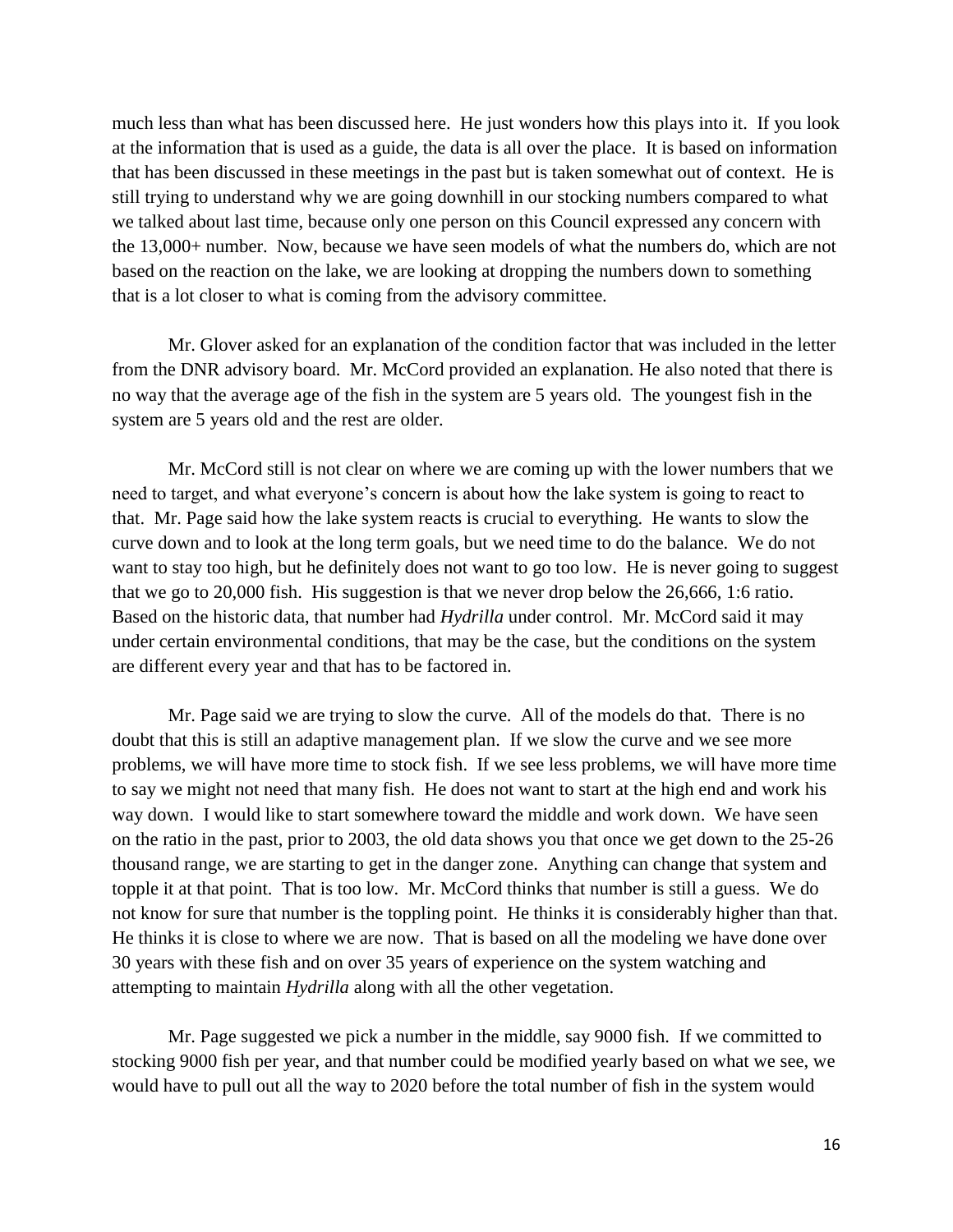much less than what has been discussed here. He just wonders how this plays into it. If you look at the information that is used as a guide, the data is all over the place. It is based on information that has been discussed in these meetings in the past but is taken somewhat out of context. He is still trying to understand why we are going downhill in our stocking numbers compared to what we talked about last time, because only one person on this Council expressed any concern with the 13,000+ number. Now, because we have seen models of what the numbers do, which are not based on the reaction on the lake, we are looking at dropping the numbers down to something that is a lot closer to what is coming from the advisory committee.

Mr. Glover asked for an explanation of the condition factor that was included in the letter from the DNR advisory board. Mr. McCord provided an explanation. He also noted that there is no way that the average age of the fish in the system are 5 years old. The youngest fish in the system are 5 years old and the rest are older.

Mr. McCord still is not clear on where we are coming up with the lower numbers that we need to target, and what everyone's concern is about how the lake system is going to react to that. Mr. Page said how the lake system reacts is crucial to everything. He wants to slow the curve down and to look at the long term goals, but we need time to do the balance. We do not want to stay too high, but he definitely does not want to go too low. He is never going to suggest that we go to 20,000 fish. His suggestion is that we never drop below the 26,666, 1:6 ratio. Based on the historic data, that number had *Hydrilla* under control. Mr. McCord said it may under certain environmental conditions, that may be the case, but the conditions on the system are different every year and that has to be factored in.

Mr. Page said we are trying to slow the curve. All of the models do that. There is no doubt that this is still an adaptive management plan. If we slow the curve and we see more problems, we will have more time to stock fish. If we see less problems, we will have more time to say we might not need that many fish. He does not want to start at the high end and work his way down. I would like to start somewhere toward the middle and work down. We have seen on the ratio in the past, prior to 2003, the old data shows you that once we get down to the 25-26 thousand range, we are starting to get in the danger zone. Anything can change that system and topple it at that point. That is too low. Mr. McCord thinks that number is still a guess. We do not know for sure that number is the toppling point. He thinks it is considerably higher than that. He thinks it is close to where we are now. That is based on all the modeling we have done over 30 years with these fish and on over 35 years of experience on the system watching and attempting to maintain *Hydrilla* along with all the other vegetation.

Mr. Page suggested we pick a number in the middle, say 9000 fish. If we committed to stocking 9000 fish per year, and that number could be modified yearly based on what we see, we would have to pull out all the way to 2020 before the total number of fish in the system would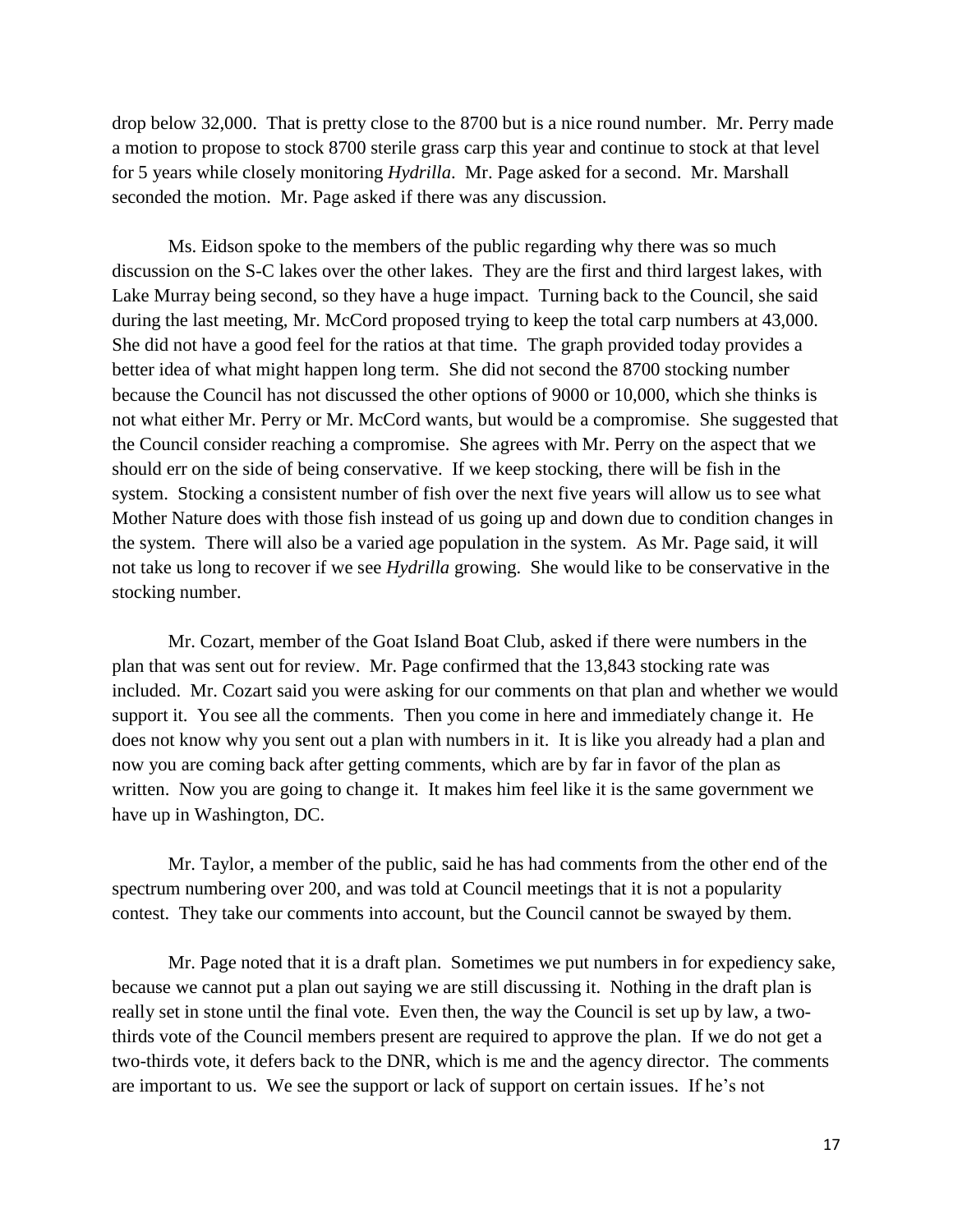drop below 32,000. That is pretty close to the 8700 but is a nice round number. Mr. Perry made a motion to propose to stock 8700 sterile grass carp this year and continue to stock at that level for 5 years while closely monitoring *Hydrilla*. Mr. Page asked for a second. Mr. Marshall seconded the motion. Mr. Page asked if there was any discussion.

Ms. Eidson spoke to the members of the public regarding why there was so much discussion on the S-C lakes over the other lakes. They are the first and third largest lakes, with Lake Murray being second, so they have a huge impact. Turning back to the Council, she said during the last meeting, Mr. McCord proposed trying to keep the total carp numbers at 43,000. She did not have a good feel for the ratios at that time. The graph provided today provides a better idea of what might happen long term. She did not second the 8700 stocking number because the Council has not discussed the other options of 9000 or 10,000, which she thinks is not what either Mr. Perry or Mr. McCord wants, but would be a compromise. She suggested that the Council consider reaching a compromise. She agrees with Mr. Perry on the aspect that we should err on the side of being conservative. If we keep stocking, there will be fish in the system. Stocking a consistent number of fish over the next five years will allow us to see what Mother Nature does with those fish instead of us going up and down due to condition changes in the system. There will also be a varied age population in the system. As Mr. Page said, it will not take us long to recover if we see *Hydrilla* growing. She would like to be conservative in the stocking number.

Mr. Cozart, member of the Goat Island Boat Club, asked if there were numbers in the plan that was sent out for review. Mr. Page confirmed that the 13,843 stocking rate was included. Mr. Cozart said you were asking for our comments on that plan and whether we would support it. You see all the comments. Then you come in here and immediately change it. He does not know why you sent out a plan with numbers in it. It is like you already had a plan and now you are coming back after getting comments, which are by far in favor of the plan as written. Now you are going to change it. It makes him feel like it is the same government we have up in Washington, DC.

Mr. Taylor, a member of the public, said he has had comments from the other end of the spectrum numbering over 200, and was told at Council meetings that it is not a popularity contest. They take our comments into account, but the Council cannot be swayed by them.

Mr. Page noted that it is a draft plan. Sometimes we put numbers in for expediency sake, because we cannot put a plan out saying we are still discussing it. Nothing in the draft plan is really set in stone until the final vote. Even then, the way the Council is set up by law, a twothirds vote of the Council members present are required to approve the plan. If we do not get a two-thirds vote, it defers back to the DNR, which is me and the agency director. The comments are important to us. We see the support or lack of support on certain issues. If he's not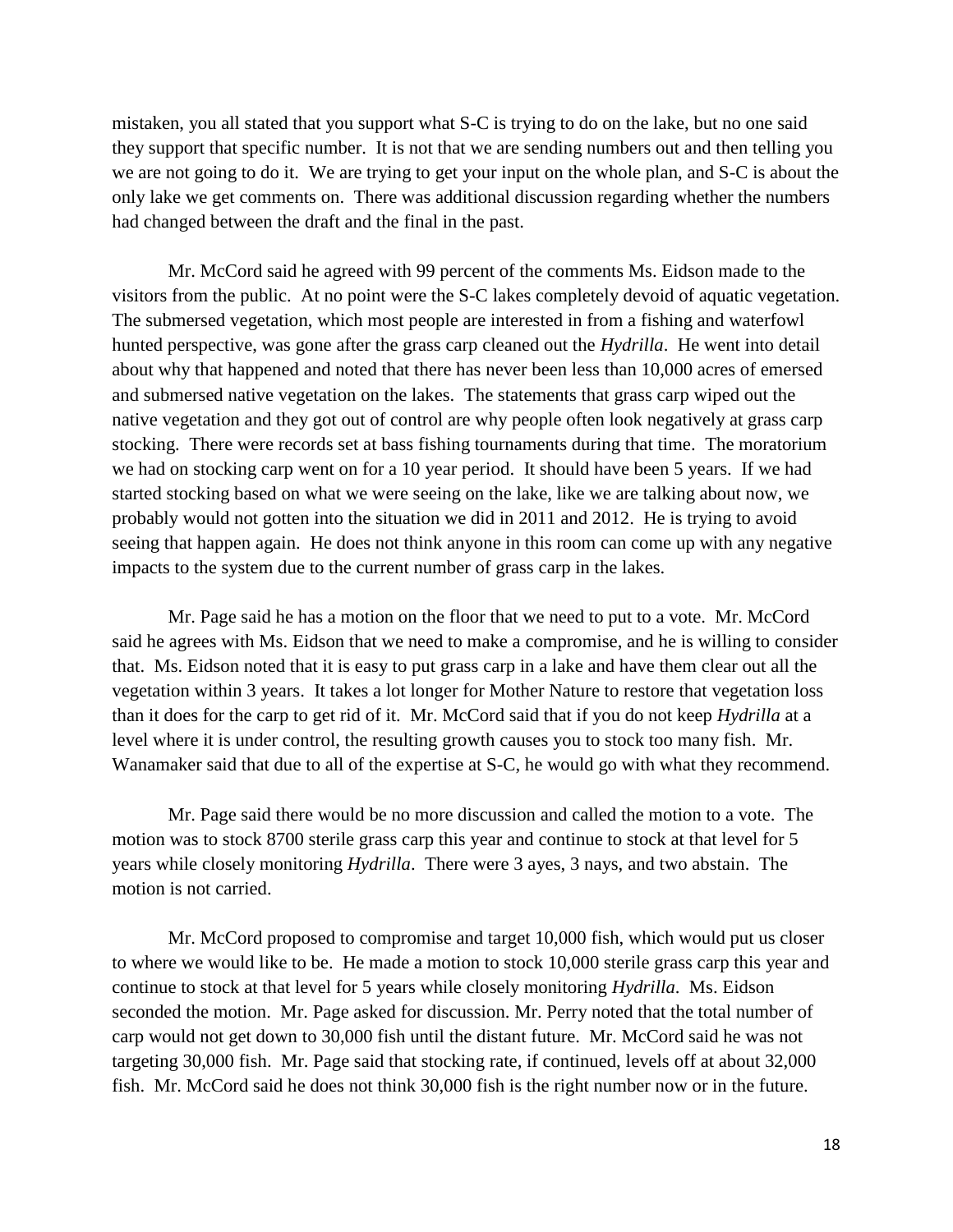mistaken, you all stated that you support what S-C is trying to do on the lake, but no one said they support that specific number. It is not that we are sending numbers out and then telling you we are not going to do it. We are trying to get your input on the whole plan, and S-C is about the only lake we get comments on. There was additional discussion regarding whether the numbers had changed between the draft and the final in the past.

Mr. McCord said he agreed with 99 percent of the comments Ms. Eidson made to the visitors from the public. At no point were the S-C lakes completely devoid of aquatic vegetation. The submersed vegetation, which most people are interested in from a fishing and waterfowl hunted perspective, was gone after the grass carp cleaned out the *Hydrilla*. He went into detail about why that happened and noted that there has never been less than 10,000 acres of emersed and submersed native vegetation on the lakes. The statements that grass carp wiped out the native vegetation and they got out of control are why people often look negatively at grass carp stocking. There were records set at bass fishing tournaments during that time. The moratorium we had on stocking carp went on for a 10 year period. It should have been 5 years. If we had started stocking based on what we were seeing on the lake, like we are talking about now, we probably would not gotten into the situation we did in 2011 and 2012. He is trying to avoid seeing that happen again. He does not think anyone in this room can come up with any negative impacts to the system due to the current number of grass carp in the lakes.

Mr. Page said he has a motion on the floor that we need to put to a vote. Mr. McCord said he agrees with Ms. Eidson that we need to make a compromise, and he is willing to consider that. Ms. Eidson noted that it is easy to put grass carp in a lake and have them clear out all the vegetation within 3 years. It takes a lot longer for Mother Nature to restore that vegetation loss than it does for the carp to get rid of it. Mr. McCord said that if you do not keep *Hydrilla* at a level where it is under control, the resulting growth causes you to stock too many fish. Mr. Wanamaker said that due to all of the expertise at S-C, he would go with what they recommend.

Mr. Page said there would be no more discussion and called the motion to a vote. The motion was to stock 8700 sterile grass carp this year and continue to stock at that level for 5 years while closely monitoring *Hydrilla*. There were 3 ayes, 3 nays, and two abstain. The motion is not carried.

Mr. McCord proposed to compromise and target 10,000 fish, which would put us closer to where we would like to be. He made a motion to stock 10,000 sterile grass carp this year and continue to stock at that level for 5 years while closely monitoring *Hydrilla*. Ms. Eidson seconded the motion. Mr. Page asked for discussion. Mr. Perry noted that the total number of carp would not get down to 30,000 fish until the distant future. Mr. McCord said he was not targeting 30,000 fish. Mr. Page said that stocking rate, if continued, levels off at about 32,000 fish. Mr. McCord said he does not think 30,000 fish is the right number now or in the future.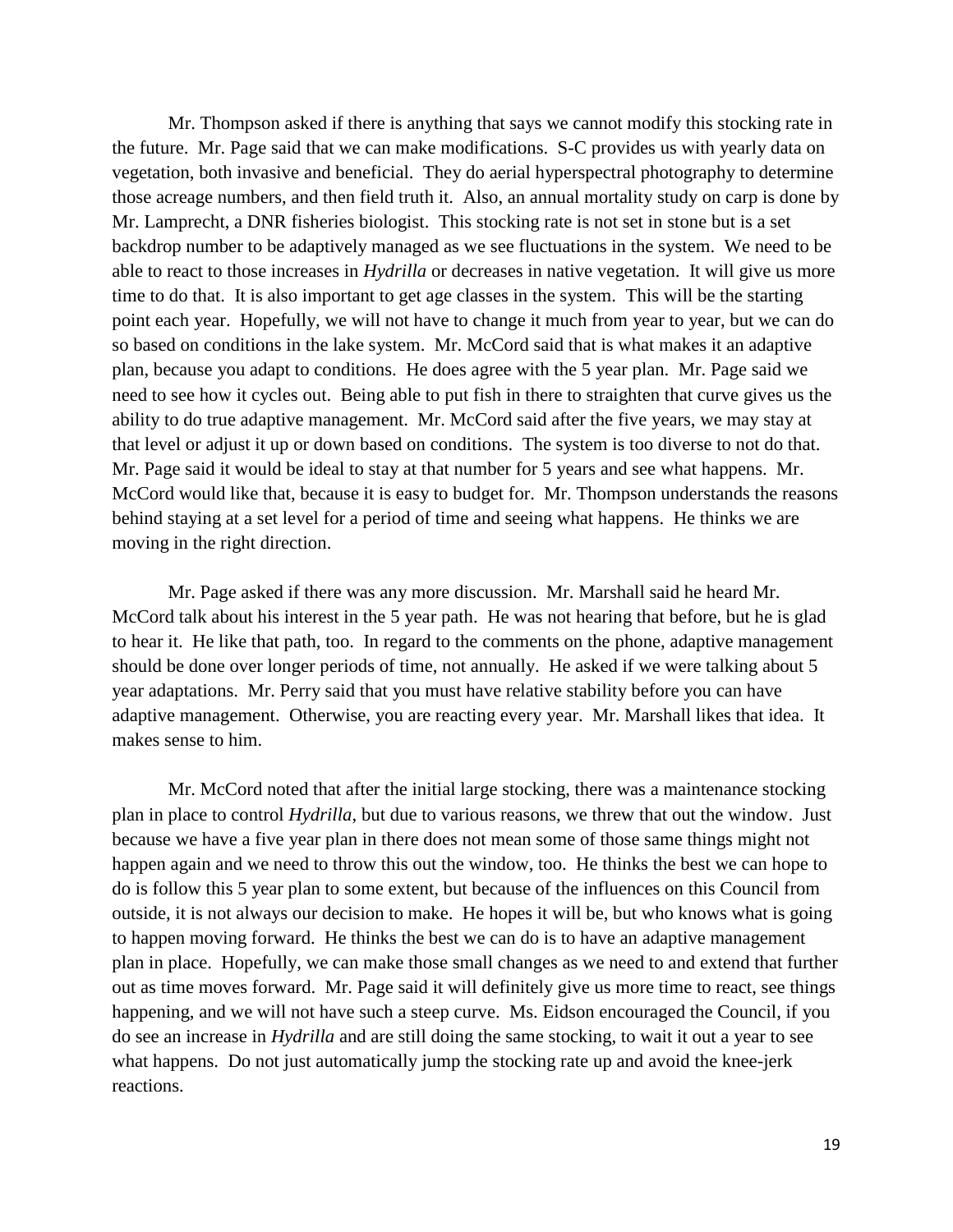Mr. Thompson asked if there is anything that says we cannot modify this stocking rate in the future. Mr. Page said that we can make modifications. S-C provides us with yearly data on vegetation, both invasive and beneficial. They do aerial hyperspectral photography to determine those acreage numbers, and then field truth it. Also, an annual mortality study on carp is done by Mr. Lamprecht, a DNR fisheries biologist. This stocking rate is not set in stone but is a set backdrop number to be adaptively managed as we see fluctuations in the system. We need to be able to react to those increases in *Hydrilla* or decreases in native vegetation. It will give us more time to do that. It is also important to get age classes in the system. This will be the starting point each year. Hopefully, we will not have to change it much from year to year, but we can do so based on conditions in the lake system. Mr. McCord said that is what makes it an adaptive plan, because you adapt to conditions. He does agree with the 5 year plan. Mr. Page said we need to see how it cycles out. Being able to put fish in there to straighten that curve gives us the ability to do true adaptive management. Mr. McCord said after the five years, we may stay at that level or adjust it up or down based on conditions. The system is too diverse to not do that. Mr. Page said it would be ideal to stay at that number for 5 years and see what happens. Mr. McCord would like that, because it is easy to budget for. Mr. Thompson understands the reasons behind staying at a set level for a period of time and seeing what happens. He thinks we are moving in the right direction.

Mr. Page asked if there was any more discussion. Mr. Marshall said he heard Mr. McCord talk about his interest in the 5 year path. He was not hearing that before, but he is glad to hear it. He like that path, too. In regard to the comments on the phone, adaptive management should be done over longer periods of time, not annually. He asked if we were talking about 5 year adaptations. Mr. Perry said that you must have relative stability before you can have adaptive management. Otherwise, you are reacting every year. Mr. Marshall likes that idea. It makes sense to him.

Mr. McCord noted that after the initial large stocking, there was a maintenance stocking plan in place to control *Hydrilla*, but due to various reasons, we threw that out the window. Just because we have a five year plan in there does not mean some of those same things might not happen again and we need to throw this out the window, too. He thinks the best we can hope to do is follow this 5 year plan to some extent, but because of the influences on this Council from outside, it is not always our decision to make. He hopes it will be, but who knows what is going to happen moving forward. He thinks the best we can do is to have an adaptive management plan in place. Hopefully, we can make those small changes as we need to and extend that further out as time moves forward. Mr. Page said it will definitely give us more time to react, see things happening, and we will not have such a steep curve. Ms. Eidson encouraged the Council, if you do see an increase in *Hydrilla* and are still doing the same stocking, to wait it out a year to see what happens. Do not just automatically jump the stocking rate up and avoid the knee-jerk reactions.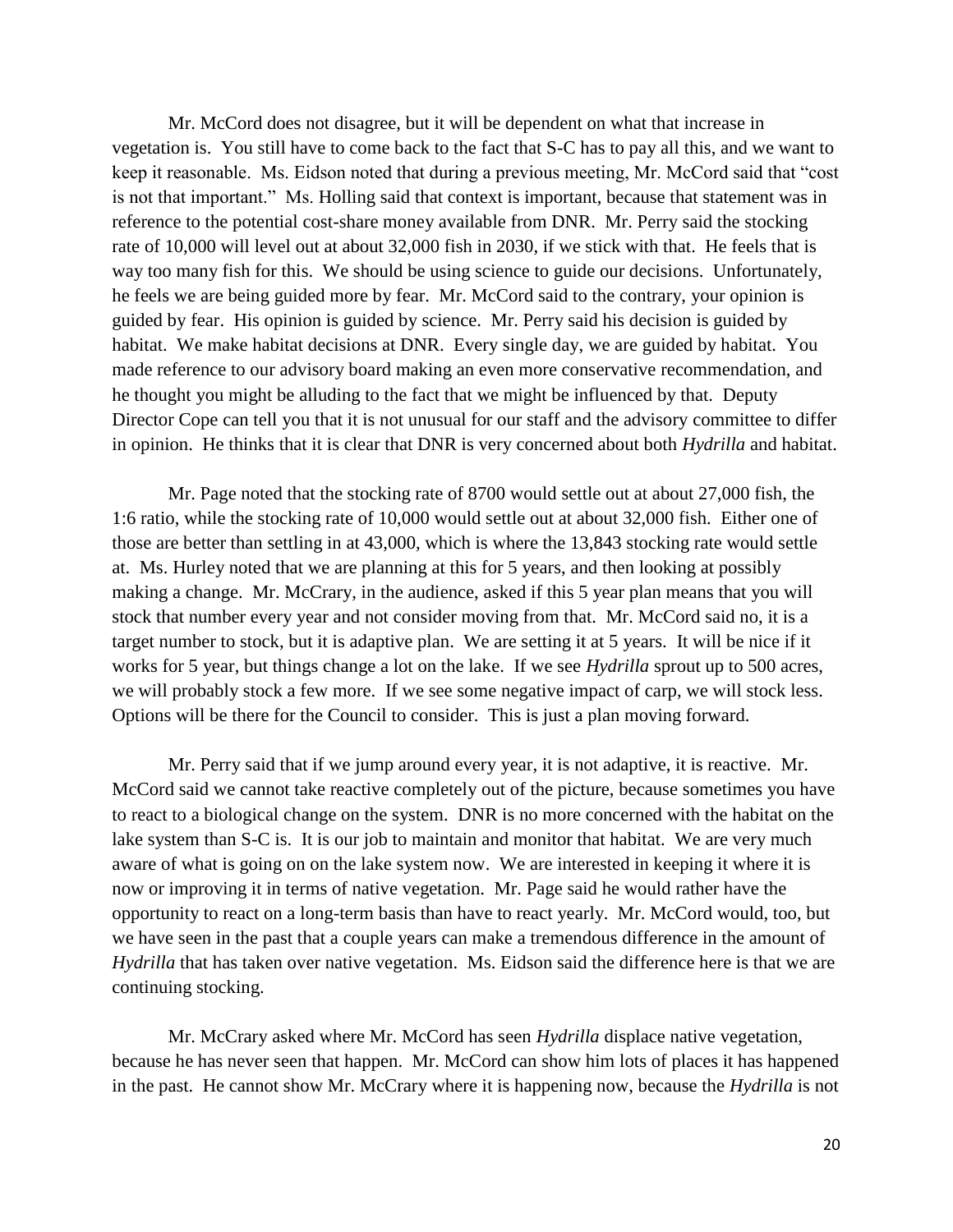Mr. McCord does not disagree, but it will be dependent on what that increase in vegetation is. You still have to come back to the fact that S-C has to pay all this, and we want to keep it reasonable. Ms. Eidson noted that during a previous meeting, Mr. McCord said that "cost is not that important." Ms. Holling said that context is important, because that statement was in reference to the potential cost-share money available from DNR. Mr. Perry said the stocking rate of 10,000 will level out at about 32,000 fish in 2030, if we stick with that. He feels that is way too many fish for this. We should be using science to guide our decisions. Unfortunately, he feels we are being guided more by fear. Mr. McCord said to the contrary, your opinion is guided by fear. His opinion is guided by science. Mr. Perry said his decision is guided by habitat. We make habitat decisions at DNR. Every single day, we are guided by habitat. You made reference to our advisory board making an even more conservative recommendation, and he thought you might be alluding to the fact that we might be influenced by that. Deputy Director Cope can tell you that it is not unusual for our staff and the advisory committee to differ in opinion. He thinks that it is clear that DNR is very concerned about both *Hydrilla* and habitat.

Mr. Page noted that the stocking rate of 8700 would settle out at about 27,000 fish, the 1:6 ratio, while the stocking rate of 10,000 would settle out at about 32,000 fish. Either one of those are better than settling in at 43,000, which is where the 13,843 stocking rate would settle at. Ms. Hurley noted that we are planning at this for 5 years, and then looking at possibly making a change. Mr. McCrary, in the audience, asked if this 5 year plan means that you will stock that number every year and not consider moving from that. Mr. McCord said no, it is a target number to stock, but it is adaptive plan. We are setting it at 5 years. It will be nice if it works for 5 year, but things change a lot on the lake. If we see *Hydrilla* sprout up to 500 acres, we will probably stock a few more. If we see some negative impact of carp, we will stock less. Options will be there for the Council to consider. This is just a plan moving forward.

Mr. Perry said that if we jump around every year, it is not adaptive, it is reactive. Mr. McCord said we cannot take reactive completely out of the picture, because sometimes you have to react to a biological change on the system. DNR is no more concerned with the habitat on the lake system than S-C is. It is our job to maintain and monitor that habitat. We are very much aware of what is going on on the lake system now. We are interested in keeping it where it is now or improving it in terms of native vegetation. Mr. Page said he would rather have the opportunity to react on a long-term basis than have to react yearly. Mr. McCord would, too, but we have seen in the past that a couple years can make a tremendous difference in the amount of *Hydrilla* that has taken over native vegetation. Ms. Eidson said the difference here is that we are continuing stocking.

Mr. McCrary asked where Mr. McCord has seen *Hydrilla* displace native vegetation, because he has never seen that happen. Mr. McCord can show him lots of places it has happened in the past. He cannot show Mr. McCrary where it is happening now, because the *Hydrilla* is not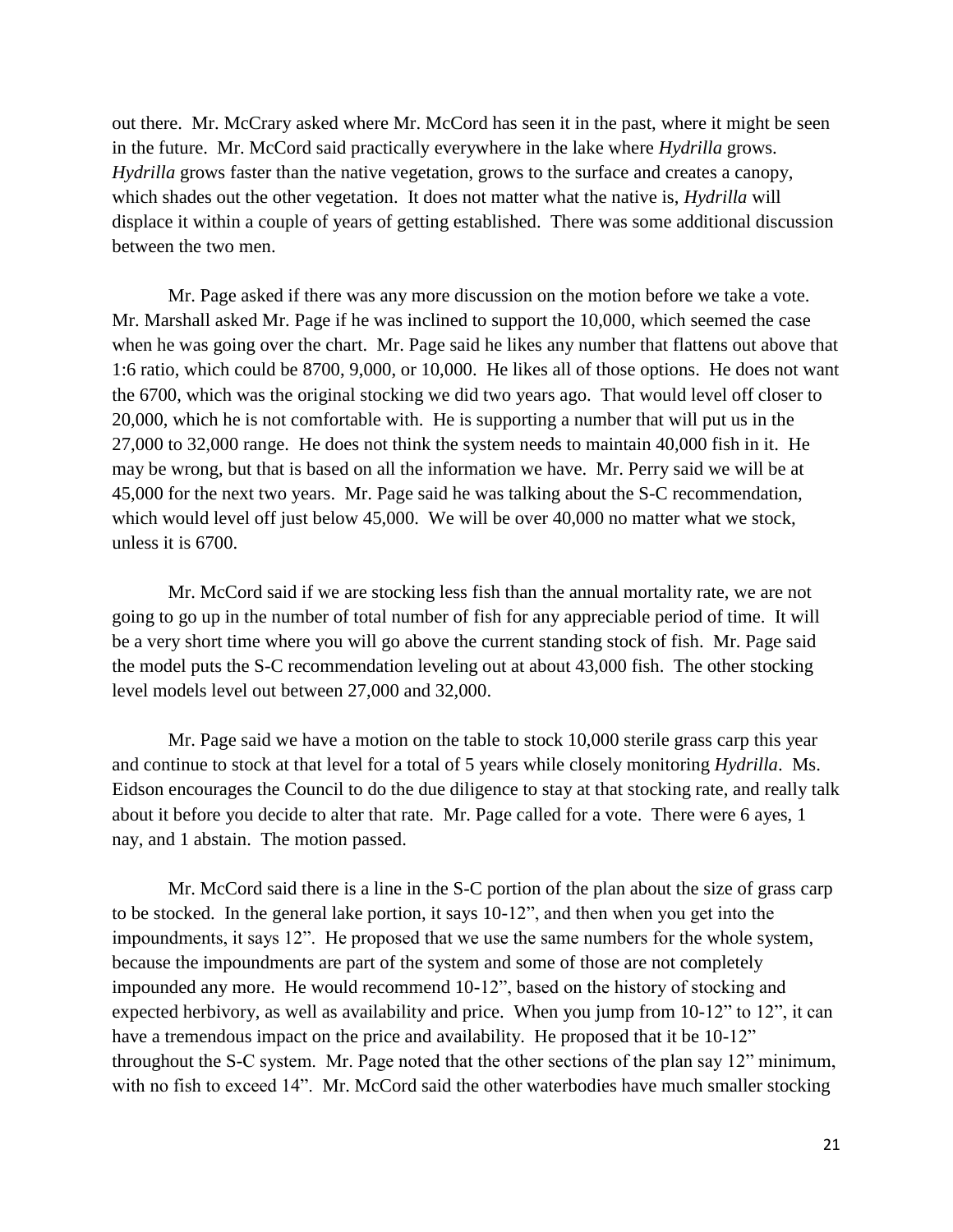out there. Mr. McCrary asked where Mr. McCord has seen it in the past, where it might be seen in the future. Mr. McCord said practically everywhere in the lake where *Hydrilla* grows. *Hydrilla* grows faster than the native vegetation, grows to the surface and creates a canopy, which shades out the other vegetation. It does not matter what the native is, *Hydrilla* will displace it within a couple of years of getting established. There was some additional discussion between the two men.

Mr. Page asked if there was any more discussion on the motion before we take a vote. Mr. Marshall asked Mr. Page if he was inclined to support the 10,000, which seemed the case when he was going over the chart. Mr. Page said he likes any number that flattens out above that 1:6 ratio, which could be 8700, 9,000, or 10,000. He likes all of those options. He does not want the 6700, which was the original stocking we did two years ago. That would level off closer to 20,000, which he is not comfortable with. He is supporting a number that will put us in the 27,000 to 32,000 range. He does not think the system needs to maintain 40,000 fish in it. He may be wrong, but that is based on all the information we have. Mr. Perry said we will be at 45,000 for the next two years. Mr. Page said he was talking about the S-C recommendation, which would level off just below 45,000. We will be over 40,000 no matter what we stock, unless it is 6700.

Mr. McCord said if we are stocking less fish than the annual mortality rate, we are not going to go up in the number of total number of fish for any appreciable period of time. It will be a very short time where you will go above the current standing stock of fish. Mr. Page said the model puts the S-C recommendation leveling out at about 43,000 fish. The other stocking level models level out between 27,000 and 32,000.

Mr. Page said we have a motion on the table to stock 10,000 sterile grass carp this year and continue to stock at that level for a total of 5 years while closely monitoring *Hydrilla*. Ms. Eidson encourages the Council to do the due diligence to stay at that stocking rate, and really talk about it before you decide to alter that rate. Mr. Page called for a vote. There were 6 ayes, 1 nay, and 1 abstain. The motion passed.

Mr. McCord said there is a line in the S-C portion of the plan about the size of grass carp to be stocked. In the general lake portion, it says 10-12", and then when you get into the impoundments, it says 12". He proposed that we use the same numbers for the whole system, because the impoundments are part of the system and some of those are not completely impounded any more. He would recommend 10-12", based on the history of stocking and expected herbivory, as well as availability and price. When you jump from 10-12" to 12", it can have a tremendous impact on the price and availability. He proposed that it be 10-12" throughout the S-C system. Mr. Page noted that the other sections of the plan say 12" minimum, with no fish to exceed 14". Mr. McCord said the other waterbodies have much smaller stocking